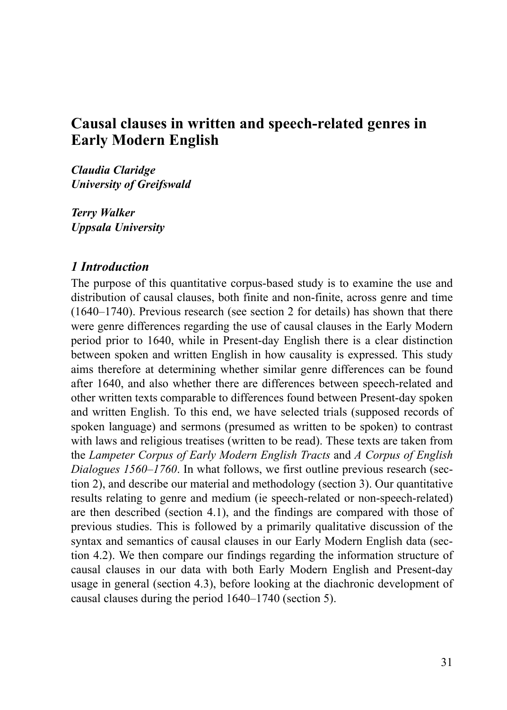# **Causal clauses in written and speech-related genres in Early Modern English**

*Claudia Claridge University of Greifswald*

*Terry Walker Uppsala University*

#### *1 Introduction*

The purpose of this quantitative corpus-based study is to examine the use and distribution of causal clauses, both finite and non-finite, across genre and time (1640–1740). Previous research (see section 2 for details) has shown that there were genre differences regarding the use of causal clauses in the Early Modern period prior to 1640, while in Present-day English there is a clear distinction between spoken and written English in how causality is expressed. This study aims therefore at determining whether similar genre differences can be found after 1640, and also whether there are differences between speech-related and other written texts comparable to differences found between Present-day spoken and written English. To this end, we have selected trials (supposed records of spoken language) and sermons (presumed as written to be spoken) to contrast with laws and religious treatises (written to be read). These texts are taken from the *Lampeter Corpus of Early Modern English Tracts* and *A Corpus of English Dialogues 1560–1760*. In what follows, we first outline previous research (section 2), and describe our material and methodology (section 3). Our quantitative results relating to genre and medium (ie speech-related or non-speech-related) are then described (section 4.1), and the findings are compared with those of previous studies. This is followed by a primarily qualitative discussion of the syntax and semantics of causal clauses in our Early Modern English data (section 4.2). We then compare our findings regarding the information structure of causal clauses in our data with both Early Modern English and Present-day usage in general (section 4.3), before looking at the diachronic development of causal clauses during the period 1640–1740 (section 5).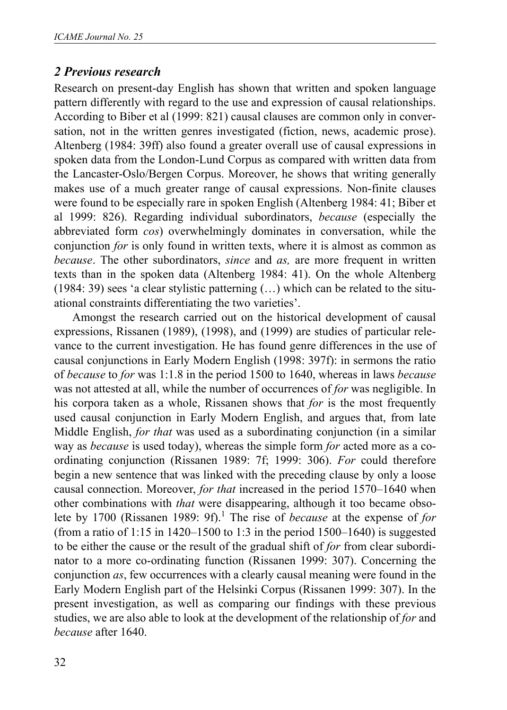## *2 Previous research*

Research on present-day English has shown that written and spoken language pattern differently with regard to the use and expression of causal relationships. According to Biber et al (1999: 821) causal clauses are common only in conversation, not in the written genres investigated (fiction, news, academic prose). Altenberg (1984: 39ff) also found a greater overall use of causal expressions in spoken data from the London-Lund Corpus as compared with written data from the Lancaster-Oslo/Bergen Corpus. Moreover, he shows that writing generally makes use of a much greater range of causal expressions. Non-finite clauses were found to be especially rare in spoken English (Altenberg 1984: 41; Biber et al 1999: 826). Regarding individual subordinators, *because* (especially the abbreviated form *cos*) overwhelmingly dominates in conversation, while the conjunction *for* is only found in written texts, where it is almost as common as *because*. The other subordinators, *since* and *as,* are more frequent in written texts than in the spoken data (Altenberg 1984: 41). On the whole Altenberg (1984: 39) sees 'a clear stylistic patterning (…) which can be related to the situational constraints differentiating the two varieties'.

Amongst the research carried out on the historical development of causal expressions, Rissanen (1989), (1998), and (1999) are studies of particular relevance to the current investigation. He has found genre differences in the use of causal conjunctions in Early Modern English (1998: 397f): in sermons the ratio of *because* to *for* was 1:1.8 in the period 1500 to 1640, whereas in laws *because* was not attested at all, while the number of occurrences of *for* was negligible. In his corpora taken as a whole, Rissanen shows that *for* is the most frequently used causal conjunction in Early Modern English, and argues that, from late Middle English, *for that* was used as a subordinating conjunction (in a similar way as *because* is used today), whereas the simple form *for* acted more as a coordinating conjunction (Rissanen 1989: 7f; 1999: 306). *For* could therefore begin a new sentence that was linked with the preceding clause by only a loose causal connection. Moreover, *for that* increased in the period 1570–1640 when other combinations with *that* were disappearing, although it too became obsolete by 1700 (Rissanen 1989: 9f).<sup>1</sup> The rise of *because* at the expense of *for* (from a ratio of 1:15 in 1420–1500 to 1:3 in the period  $1500-1640$ ) is suggested to be either the cause or the result of the gradual shift of *for* from clear subordinator to a more co-ordinating function (Rissanen 1999: 307). Concerning the conjunction *as*, few occurrences with a clearly causal meaning were found in the Early Modern English part of the Helsinki Corpus (Rissanen 1999: 307). In the present investigation, as well as comparing our findings with these previous studies, we are also able to look at the development of the relationship of *for* and *because* after 1640.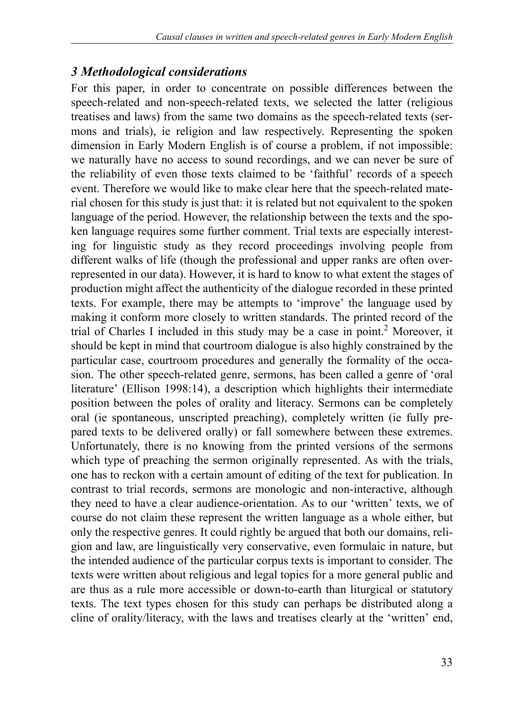## *3 Methodological considerations*

For this paper, in order to concentrate on possible differences between the speech-related and non-speech-related texts, we selected the latter (religious treatises and laws) from the same two domains as the speech-related texts (sermons and trials), ie religion and law respectively. Representing the spoken dimension in Early Modern English is of course a problem, if not impossible: we naturally have no access to sound recordings, and we can never be sure of the reliability of even those texts claimed to be 'faithful' records of a speech event. Therefore we would like to make clear here that the speech-related material chosen for this study is just that: it is related but not equivalent to the spoken language of the period. However, the relationship between the texts and the spoken language requires some further comment. Trial texts are especially interesting for linguistic study as they record proceedings involving people from different walks of life (though the professional and upper ranks are often overrepresented in our data). However, it is hard to know to what extent the stages of production might affect the authenticity of the dialogue recorded in these printed texts. For example, there may be attempts to 'improve' the language used by making it conform more closely to written standards. The printed record of the trial of Charles I included in this study may be a case in point.<sup>2</sup> Moreover, it should be kept in mind that courtroom dialogue is also highly constrained by the particular case, courtroom procedures and generally the formality of the occasion. The other speech-related genre, sermons, has been called a genre of 'oral literature' (Ellison 1998:14), a description which highlights their intermediate position between the poles of orality and literacy. Sermons can be completely oral (ie spontaneous, unscripted preaching), completely written (ie fully prepared texts to be delivered orally) or fall somewhere between these extremes. Unfortunately, there is no knowing from the printed versions of the sermons which type of preaching the sermon originally represented. As with the trials, one has to reckon with a certain amount of editing of the text for publication. In contrast to trial records, sermons are monologic and non-interactive, although they need to have a clear audience-orientation. As to our 'written' texts, we of course do not claim these represent the written language as a whole either, but only the respective genres. It could rightly be argued that both our domains, religion and law, are linguistically very conservative, even formulaic in nature, but the intended audience of the particular corpus texts is important to consider. The texts were written about religious and legal topics for a more general public and are thus as a rule more accessible or down-to-earth than liturgical or statutory texts. The text types chosen for this study can perhaps be distributed along a cline of orality/literacy, with the laws and treatises clearly at the 'written' end,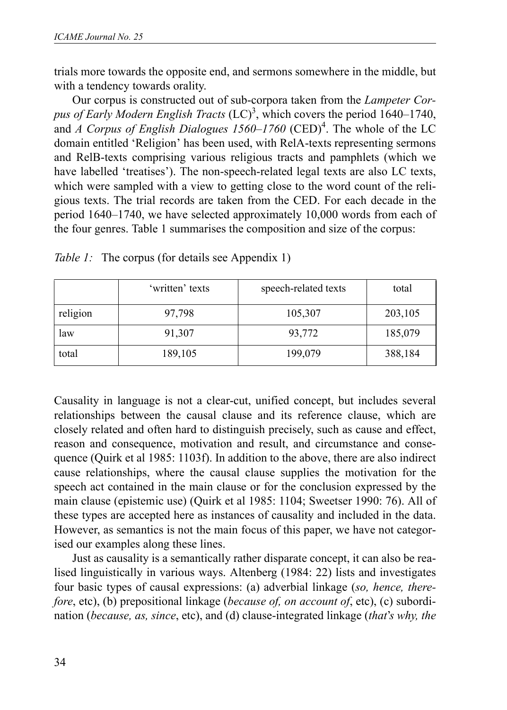trials more towards the opposite end, and sermons somewhere in the middle, but with a tendency towards orality.

Our corpus is constructed out of sub-corpora taken from the *Lampeter Cor*pus of Early Modern English Tracts (LC)<sup>3</sup>, which covers the period 1640–1740, and *A Corpus of English Dialogues 1560–1760* (CED)<sup>4</sup>. The whole of the LC domain entitled 'Religion' has been used, with RelA-texts representing sermons and RelB-texts comprising various religious tracts and pamphlets (which we have labelled 'treatises'). The non-speech-related legal texts are also LC texts, which were sampled with a view to getting close to the word count of the religious texts. The trial records are taken from the CED. For each decade in the period 1640–1740, we have selected approximately 10,000 words from each of the four genres. Table 1 summarises the composition and size of the corpus:

|          | 'written' texts | speech-related texts | total   |
|----------|-----------------|----------------------|---------|
| religion | 97,798          | 105,307              | 203,105 |
| law      | 91,307          | 93,772               | 185,079 |
| total    | 189,105         | 199,079              | 388,184 |

*Table 1:* The corpus (for details see Appendix 1)

Causality in language is not a clear-cut, unified concept, but includes several relationships between the causal clause and its reference clause, which are closely related and often hard to distinguish precisely, such as cause and effect, reason and consequence, motivation and result, and circumstance and consequence (Quirk et al 1985: 1103f). In addition to the above, there are also indirect cause relationships, where the causal clause supplies the motivation for the speech act contained in the main clause or for the conclusion expressed by the main clause (epistemic use) (Quirk et al 1985: 1104; Sweetser 1990: 76). All of these types are accepted here as instances of causality and included in the data. However, as semantics is not the main focus of this paper, we have not categorised our examples along these lines.

Just as causality is a semantically rather disparate concept, it can also be realised linguistically in various ways. Altenberg (1984: 22) lists and investigates four basic types of causal expressions: (a) adverbial linkage (*so, hence, therefore*, etc), (b) prepositional linkage (*because of, on account of*, etc), (c) subordination (*because, as, since*, etc), and (d) clause-integrated linkage (*that*'*s why, the*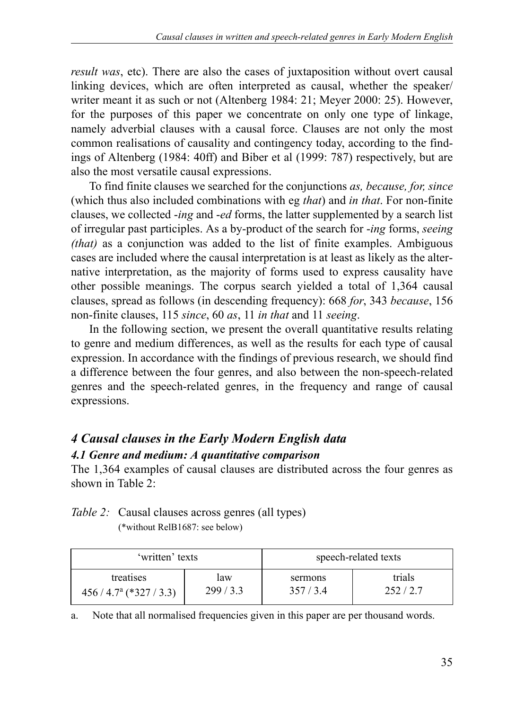*result was*, etc). There are also the cases of juxtaposition without overt causal linking devices, which are often interpreted as causal, whether the speaker/ writer meant it as such or not (Altenberg 1984: 21; Meyer 2000: 25). However, for the purposes of this paper we concentrate on only one type of linkage, namely adverbial clauses with a causal force. Clauses are not only the most common realisations of causality and contingency today, according to the findings of Altenberg (1984: 40ff) and Biber et al (1999: 787) respectively, but are also the most versatile causal expressions.

To find finite clauses we searched for the conjunctions *as, because, for, since* (which thus also included combinations with eg *that*) and *in that*. For non-finite clauses, we collected -*ing* and -*ed* forms, the latter supplemented by a search list of irregular past participles. As a by-product of the search for -*ing* forms, *seeing (that)* as a conjunction was added to the list of finite examples. Ambiguous cases are included where the causal interpretation is at least as likely as the alternative interpretation, as the majority of forms used to express causality have other possible meanings. The corpus search yielded a total of 1,364 causal clauses, spread as follows (in descending frequency): 668 *for*, 343 *because*, 156 non-finite clauses, 115 *since*, 60 *as*, 11 *in that* and 11 *seeing*.

In the following section, we present the overall quantitative results relating to genre and medium differences, as well as the results for each type of causal expression. In accordance with the findings of previous research, we should find a difference between the four genres, and also between the non-speech-related genres and the speech-related genres, in the frequency and range of causal expressions.

# *4 Causal clauses in the Early Modern English data 4.1 Genre and medium: A quantitative comparison*

The 1,364 examples of causal clauses are distributed across the four genres as shown in Table 2:

# *Table 2:* Causal clauses across genres (all types)

(\*without RelB1687: see below)

| 'written' texts           |         | speech-related texts |         |  |  |
|---------------------------|---------|----------------------|---------|--|--|
| treatises                 | law     | sermons              | trials  |  |  |
| $456 / 4.7a (*327 / 3.3)$ | 299/3.3 | 357/3.4              | 252/2.7 |  |  |

a. Note that all normalised frequencies given in this paper are per thousand words.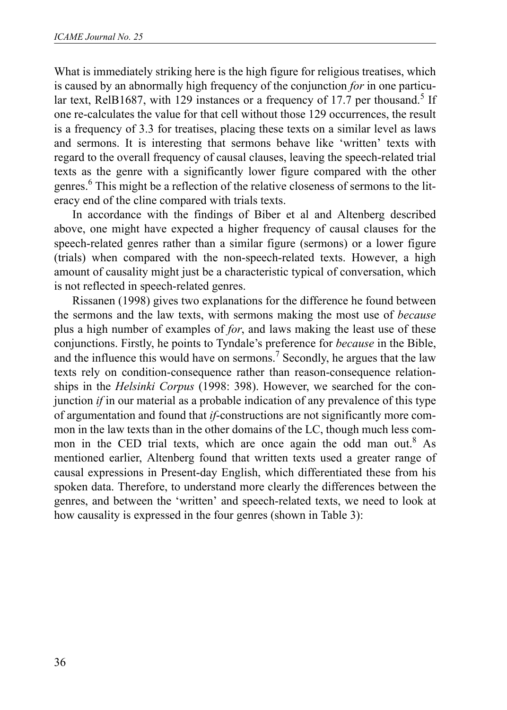What is immediately striking here is the high figure for religious treatises, which is caused by an abnormally high frequency of the conjunction *for* in one particular text, RelB1687, with 129 instances or a frequency of 17.7 per thousand.<sup>5</sup> If one re-calculates the value for that cell without those 129 occurrences, the result is a frequency of 3.3 for treatises, placing these texts on a similar level as laws and sermons. It is interesting that sermons behave like 'written' texts with regard to the overall frequency of causal clauses, leaving the speech-related trial texts as the genre with a significantly lower figure compared with the other genres.<sup>6</sup> This might be a reflection of the relative closeness of sermons to the literacy end of the cline compared with trials texts.

In accordance with the findings of Biber et al and Altenberg described above, one might have expected a higher frequency of causal clauses for the speech-related genres rather than a similar figure (sermons) or a lower figure (trials) when compared with the non-speech-related texts. However, a high amount of causality might just be a characteristic typical of conversation, which is not reflected in speech-related genres.

Rissanen (1998) gives two explanations for the difference he found between the sermons and the law texts, with sermons making the most use of *because* plus a high number of examples of *for*, and laws making the least use of these conjunctions. Firstly, he points to Tyndale's preference for *because* in the Bible, and the influence this would have on sermons.<sup>7</sup> Secondly, he argues that the law texts rely on condition-consequence rather than reason-consequence relationships in the *Helsinki Corpus* (1998: 398). However, we searched for the conjunction *if* in our material as a probable indication of any prevalence of this type of argumentation and found that *if*-constructions are not significantly more common in the law texts than in the other domains of the LC, though much less common in the CED trial texts, which are once again the odd man out.<sup>8</sup> As mentioned earlier, Altenberg found that written texts used a greater range of causal expressions in Present-day English, which differentiated these from his spoken data. Therefore, to understand more clearly the differences between the genres, and between the 'written' and speech-related texts, we need to look at how causality is expressed in the four genres (shown in Table 3):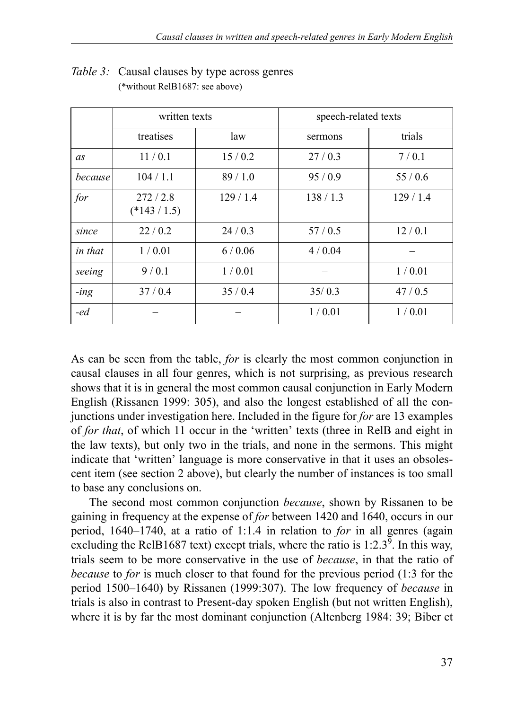|                | written texts           |         | speech-related texts |         |  |  |
|----------------|-------------------------|---------|----------------------|---------|--|--|
|                | treatises               | law     | sermons              | trials  |  |  |
| as             | 11/0.1                  | 15/0.2  | 27/0.3               | 7/0.1   |  |  |
| because        | 104/1.1                 | 89/1.0  | 95/0.9               | 55/0.6  |  |  |
| for            | 272/2.8<br>$(*143/1.5)$ | 129/1.4 | 138/1.3              | 129/1.4 |  |  |
| since          | 22/0.2                  | 24/0.3  | 57/0.5               | 12/0.1  |  |  |
| in that        | 1/0.01                  | 6/0.06  | 4/0.04               |         |  |  |
| seeing         | 9/0.1                   | 1/0.01  |                      | 1/0.01  |  |  |
| $-$ <i>ing</i> | 37/0.4                  | 35/0.4  | 35/0.3               | 47/0.5  |  |  |
| -ed            |                         |         | 1/0.01               | 1/0.01  |  |  |

#### *Table 3:* Causal clauses by type across genres (\*without RelB1687: see above)

As can be seen from the table, *for* is clearly the most common conjunction in causal clauses in all four genres, which is not surprising, as previous research shows that it is in general the most common causal conjunction in Early Modern English (Rissanen 1999: 305), and also the longest established of all the conjunctions under investigation here. Included in the figure for *for* are 13 examples of *for that*, of which 11 occur in the 'written' texts (three in RelB and eight in the law texts), but only two in the trials, and none in the sermons. This might indicate that 'written' language is more conservative in that it uses an obsolescent item (see section 2 above), but clearly the number of instances is too small to base any conclusions on.

The second most common conjunction *because*, shown by Rissanen to be gaining in frequency at the expense of *for* between 1420 and 1640, occurs in our period, 1640–1740, at a ratio of 1:1.4 in relation to *for* in all genres (again excluding the RelB1687 text) except trials, where the ratio is  $1:2.3^9$ . In this way, trials seem to be more conservative in the use of *because*, in that the ratio of *because* to *for* is much closer to that found for the previous period (1:3 for the period 1500–1640) by Rissanen (1999:307). The low frequency of *because* in trials is also in contrast to Present-day spoken English (but not written English), where it is by far the most dominant conjunction (Altenberg 1984: 39; Biber et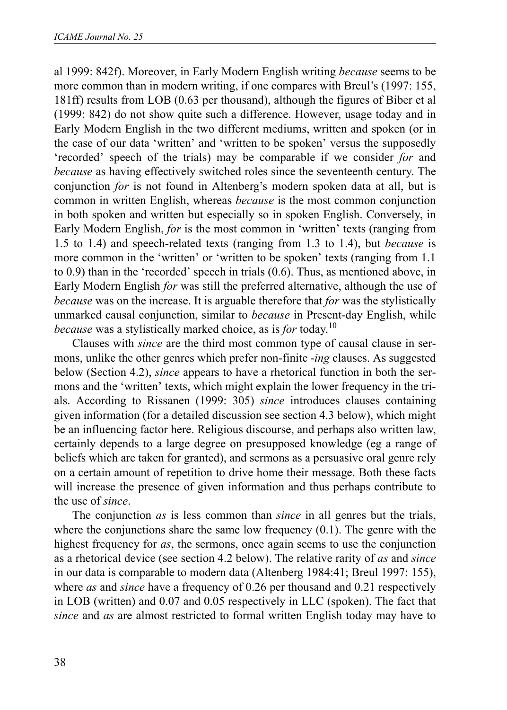al 1999: 842f). Moreover, in Early Modern English writing *because* seems to be more common than in modern writing, if one compares with Breul's (1997: 155, 181ff) results from LOB (0.63 per thousand), although the figures of Biber et al (1999: 842) do not show quite such a difference. However, usage today and in Early Modern English in the two different mediums, written and spoken (or in the case of our data 'written' and 'written to be spoken' versus the supposedly 'recorded' speech of the trials) may be comparable if we consider *for* and *because* as having effectively switched roles since the seventeenth century. The conjunction *for* is not found in Altenberg's modern spoken data at all, but is common in written English, whereas *because* is the most common conjunction in both spoken and written but especially so in spoken English. Conversely, in Early Modern English, *for* is the most common in 'written' texts (ranging from 1.5 to 1.4) and speech-related texts (ranging from 1.3 to 1.4), but *because* is more common in the 'written' or 'written to be spoken' texts (ranging from 1.1 to 0.9) than in the 'recorded' speech in trials (0.6). Thus, as mentioned above, in Early Modern English *for* was still the preferred alternative, although the use of *because* was on the increase. It is arguable therefore that *for* was the stylistically unmarked causal conjunction, similar to *because* in Present-day English, while *because* was a stylistically marked choice, as is *for* today.<sup>10</sup>

Clauses with *since* are the third most common type of causal clause in sermons, unlike the other genres which prefer non-finite -*ing* clauses. As suggested below (Section 4.2), *since* appears to have a rhetorical function in both the sermons and the 'written' texts, which might explain the lower frequency in the trials. According to Rissanen (1999: 305) *since* introduces clauses containing given information (for a detailed discussion see section 4.3 below), which might be an influencing factor here. Religious discourse, and perhaps also written law, certainly depends to a large degree on presupposed knowledge (eg a range of beliefs which are taken for granted), and sermons as a persuasive oral genre rely on a certain amount of repetition to drive home their message. Both these facts will increase the presence of given information and thus perhaps contribute to the use of *since*.

The conjunction *as* is less common than *since* in all genres but the trials, where the conjunctions share the same low frequency (0.1). The genre with the highest frequency for *as*, the sermons, once again seems to use the conjunction as a rhetorical device (see section 4.2 below). The relative rarity of *as* and *since* in our data is comparable to modern data (Altenberg 1984:41; Breul 1997: 155), where *as* and *since* have a frequency of 0.26 per thousand and 0.21 respectively in LOB (written) and 0.07 and 0.05 respectively in LLC (spoken). The fact that *since* and *as* are almost restricted to formal written English today may have to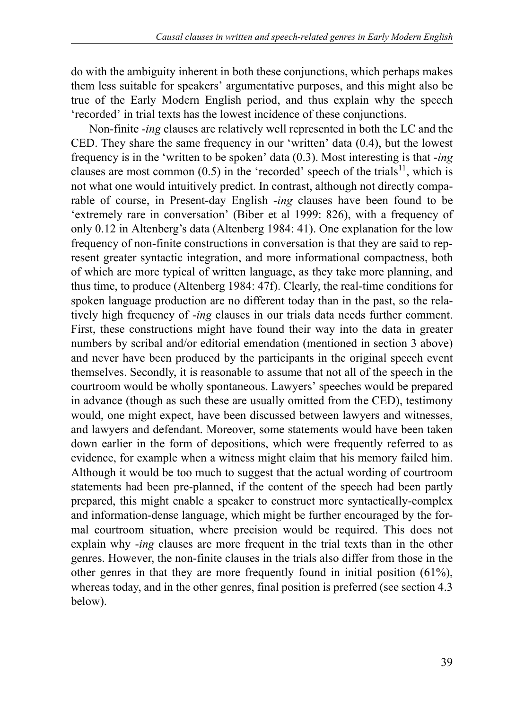do with the ambiguity inherent in both these conjunctions, which perhaps makes them less suitable for speakers' argumentative purposes, and this might also be true of the Early Modern English period, and thus explain why the speech 'recorded' in trial texts has the lowest incidence of these conjunctions.

Non-finite -*ing* clauses are relatively well represented in both the LC and the CED. They share the same frequency in our 'written' data (0.4), but the lowest frequency is in the 'written to be spoken' data (0.3). Most interesting is that -*ing* clauses are most common  $(0.5)$  in the 'recorded' speech of the trials<sup>11</sup>, which is not what one would intuitively predict. In contrast, although not directly comparable of course, in Present-day English -*ing* clauses have been found to be 'extremely rare in conversation' (Biber et al 1999: 826), with a frequency of only 0.12 in Altenberg's data (Altenberg 1984: 41). One explanation for the low frequency of non-finite constructions in conversation is that they are said to represent greater syntactic integration, and more informational compactness, both of which are more typical of written language, as they take more planning, and thus time, to produce (Altenberg 1984: 47f). Clearly, the real-time conditions for spoken language production are no different today than in the past, so the relatively high frequency of -*ing* clauses in our trials data needs further comment. First, these constructions might have found their way into the data in greater numbers by scribal and/or editorial emendation (mentioned in section 3 above) and never have been produced by the participants in the original speech event themselves. Secondly, it is reasonable to assume that not all of the speech in the courtroom would be wholly spontaneous. Lawyers' speeches would be prepared in advance (though as such these are usually omitted from the CED), testimony would, one might expect, have been discussed between lawyers and witnesses, and lawyers and defendant. Moreover, some statements would have been taken down earlier in the form of depositions, which were frequently referred to as evidence, for example when a witness might claim that his memory failed him. Although it would be too much to suggest that the actual wording of courtroom statements had been pre-planned, if the content of the speech had been partly prepared, this might enable a speaker to construct more syntactically-complex and information-dense language, which might be further encouraged by the formal courtroom situation, where precision would be required. This does not explain why -*ing* clauses are more frequent in the trial texts than in the other genres. However, the non-finite clauses in the trials also differ from those in the other genres in that they are more frequently found in initial position (61%), whereas today, and in the other genres, final position is preferred (see section 4.3 below).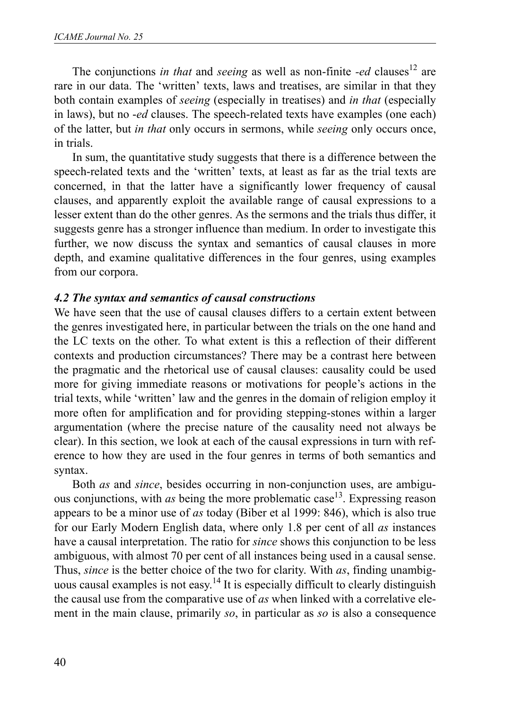The conjunctions *in that* and *seeing* as well as non-finite *-ed* clauses<sup>12</sup> are rare in our data. The 'written' texts, laws and treatises, are similar in that they both contain examples of *seeing* (especially in treatises) and *in that* (especially in laws), but no -*ed* clauses. The speech-related texts have examples (one each) of the latter, but *in that* only occurs in sermons, while *seeing* only occurs once, in trials.

In sum, the quantitative study suggests that there is a difference between the speech-related texts and the 'written' texts, at least as far as the trial texts are concerned, in that the latter have a significantly lower frequency of causal clauses, and apparently exploit the available range of causal expressions to a lesser extent than do the other genres. As the sermons and the trials thus differ, it suggests genre has a stronger influence than medium. In order to investigate this further, we now discuss the syntax and semantics of causal clauses in more depth, and examine qualitative differences in the four genres, using examples from our corpora.

### *4.2 The syntax and semantics of causal constructions*

We have seen that the use of causal clauses differs to a certain extent between the genres investigated here, in particular between the trials on the one hand and the LC texts on the other. To what extent is this a reflection of their different contexts and production circumstances? There may be a contrast here between the pragmatic and the rhetorical use of causal clauses: causality could be used more for giving immediate reasons or motivations for people's actions in the trial texts, while 'written' law and the genres in the domain of religion employ it more often for amplification and for providing stepping-stones within a larger argumentation (where the precise nature of the causality need not always be clear). In this section, we look at each of the causal expressions in turn with reference to how they are used in the four genres in terms of both semantics and syntax.

Both *as* and *since*, besides occurring in non-conjunction uses, are ambiguous conjunctions, with *as* being the more problematic case<sup>13</sup>. Expressing reason appears to be a minor use of *as* today (Biber et al 1999: 846), which is also true for our Early Modern English data, where only 1.8 per cent of all *as* instances have a causal interpretation. The ratio for *since* shows this conjunction to be less ambiguous, with almost 70 per cent of all instances being used in a causal sense. Thus, *since* is the better choice of the two for clarity. With *as*, finding unambiguous causal examples is not easy.<sup>14</sup> It is especially difficult to clearly distinguish the causal use from the comparative use of *as* when linked with a correlative element in the main clause, primarily *so*, in particular as *so* is also a consequence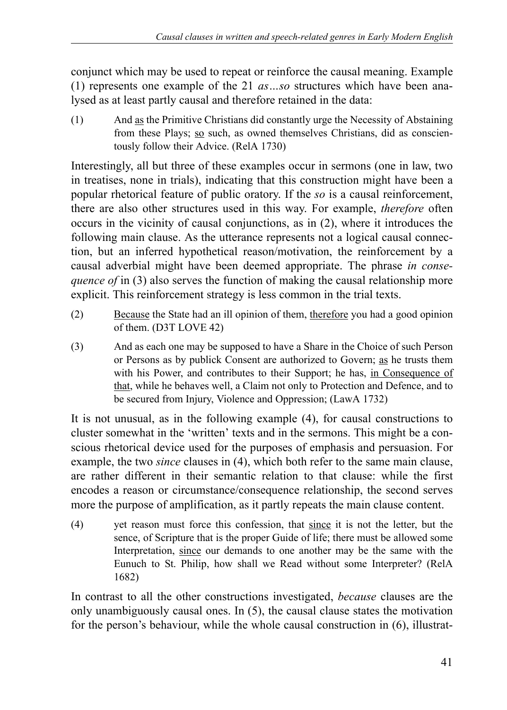conjunct which may be used to repeat or reinforce the causal meaning. Example (1) represents one example of the 21 *as…so* structures which have been analysed as at least partly causal and therefore retained in the data:

(1) And as the Primitive Christians did constantly urge the Necessity of Abstaining from these Plays; so such, as owned themselves Christians, did as conscientously follow their Advice. (RelA 1730)

Interestingly, all but three of these examples occur in sermons (one in law, two in treatises, none in trials), indicating that this construction might have been a popular rhetorical feature of public oratory. If the *so* is a causal reinforcement, there are also other structures used in this way. For example, *therefore* often occurs in the vicinity of causal conjunctions, as in (2), where it introduces the following main clause. As the utterance represents not a logical causal connection, but an inferred hypothetical reason/motivation, the reinforcement by a causal adverbial might have been deemed appropriate. The phrase *in consequence of* in (3) also serves the function of making the causal relationship more explicit. This reinforcement strategy is less common in the trial texts.

- (2) Because the State had an ill opinion of them, therefore you had a good opinion of them. (D3T LOVE 42)
- (3) And as each one may be supposed to have a Share in the Choice of such Person or Persons as by publick Consent are authorized to Govern; as he trusts them with his Power, and contributes to their Support; he has, in Consequence of that, while he behaves well, a Claim not only to Protection and Defence, and to be secured from Injury, Violence and Oppression; (LawA 1732)

It is not unusual, as in the following example (4), for causal constructions to cluster somewhat in the 'written' texts and in the sermons. This might be a conscious rhetorical device used for the purposes of emphasis and persuasion. For example, the two *since* clauses in (4), which both refer to the same main clause, are rather different in their semantic relation to that clause: while the first encodes a reason or circumstance/consequence relationship, the second serves more the purpose of amplification, as it partly repeats the main clause content.

(4) yet reason must force this confession, that since it is not the letter, but the sence, of Scripture that is the proper Guide of life; there must be allowed some Interpretation, since our demands to one another may be the same with the Eunuch to St. Philip, how shall we Read without some Interpreter? (RelA 1682)

In contrast to all the other constructions investigated, *because* clauses are the only unambiguously causal ones. In (5), the causal clause states the motivation for the person's behaviour, while the whole causal construction in (6), illustrat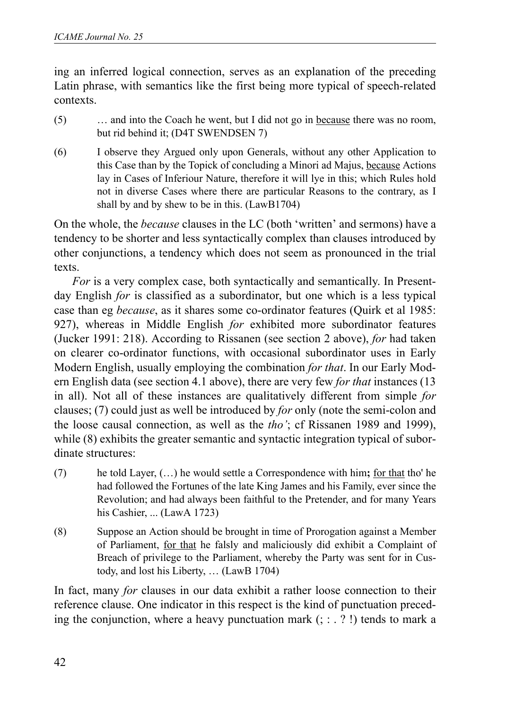ing an inferred logical connection, serves as an explanation of the preceding Latin phrase, with semantics like the first being more typical of speech-related contexts.

- (5) … and into the Coach he went, but I did not go in because there was no room, but rid behind it; (D4T SWENDSEN 7)
- (6) I observe they Argued only upon Generals, without any other Application to this Case than by the Topick of concluding a Minori ad Majus, because Actions lay in Cases of Inferiour Nature, therefore it will lye in this; which Rules hold not in diverse Cases where there are particular Reasons to the contrary, as I shall by and by shew to be in this. (LawB1704)

On the whole, the *because* clauses in the LC (both 'written' and sermons) have a tendency to be shorter and less syntactically complex than clauses introduced by other conjunctions, a tendency which does not seem as pronounced in the trial texts.

*For* is a very complex case, both syntactically and semantically. In Presentday English *for* is classified as a subordinator, but one which is a less typical case than eg *because*, as it shares some co-ordinator features (Quirk et al 1985: 927), whereas in Middle English *for* exhibited more subordinator features (Jucker 1991: 218). According to Rissanen (see section 2 above), *for* had taken on clearer co-ordinator functions, with occasional subordinator uses in Early Modern English, usually employing the combination *for that*. In our Early Modern English data (see section 4.1 above), there are very few *for that* instances (13 in all). Not all of these instances are qualitatively different from simple *for* clauses; (7) could just as well be introduced by *for* only (note the semi-colon and the loose causal connection, as well as the *tho'*; cf Rissanen 1989 and 1999), while (8) exhibits the greater semantic and syntactic integration typical of subordinate structures:

- (7) he told Layer, (…) he would settle a Correspondence with him**;** for that tho' he had followed the Fortunes of the late King James and his Family, ever since the Revolution; and had always been faithful to the Pretender, and for many Years his Cashier, ... (LawA 1723)
- (8) Suppose an Action should be brought in time of Prorogation against a Member of Parliament, for that he falsly and maliciously did exhibit a Complaint of Breach of privilege to the Parliament, whereby the Party was sent for in Custody, and lost his Liberty, … (LawB 1704)

In fact, many *for* clauses in our data exhibit a rather loose connection to their reference clause. One indicator in this respect is the kind of punctuation preceding the conjunction, where a heavy punctuation mark  $($ ; : . ? !) tends to mark a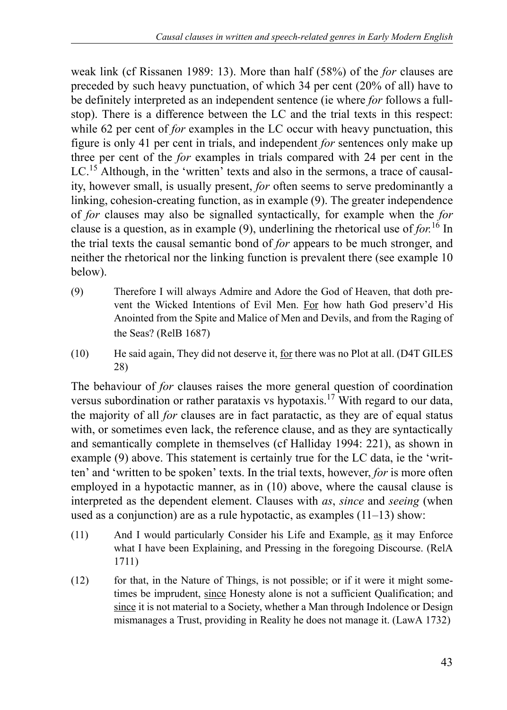weak link (cf Rissanen 1989: 13). More than half (58%) of the *for* clauses are preceded by such heavy punctuation, of which 34 per cent (20% of all) have to be definitely interpreted as an independent sentence (ie where *for* follows a fullstop). There is a difference between the LC and the trial texts in this respect: while 62 per cent of *for* examples in the LC occur with heavy punctuation, this figure is only 41 per cent in trials, and independent *for* sentences only make up three per cent of the *for* examples in trials compared with 24 per cent in the LC.<sup>15</sup> Although, in the 'written' texts and also in the sermons, a trace of causality, however small, is usually present, *for* often seems to serve predominantly a linking, cohesion-creating function, as in example (9). The greater independence of *for* clauses may also be signalled syntactically, for example when the *for* clause is a question, as in example  $(9)$ , underlining the rhetorical use of *for*.<sup>16</sup> In the trial texts the causal semantic bond of *for* appears to be much stronger, and neither the rhetorical nor the linking function is prevalent there (see example 10 below).

- (9) Therefore I will always Admire and Adore the God of Heaven, that doth prevent the Wicked Intentions of Evil Men. For how hath God preserv'd His Anointed from the Spite and Malice of Men and Devils, and from the Raging of the Seas? (RelB 1687)
- (10) He said again, They did not deserve it, for there was no Plot at all. (D4T GILES 28)

The behaviour of *for* clauses raises the more general question of coordination versus subordination or rather parataxis vs hypotaxis.<sup>17</sup> With regard to our data, the majority of all *for* clauses are in fact paratactic, as they are of equal status with, or sometimes even lack, the reference clause, and as they are syntactically and semantically complete in themselves (cf Halliday 1994: 221), as shown in example (9) above. This statement is certainly true for the LC data, ie the 'written' and 'written to be spoken' texts. In the trial texts, however, *for* is more often employed in a hypotactic manner, as in (10) above, where the causal clause is interpreted as the dependent element. Clauses with *as*, *since* and *seeing* (when used as a conjunction) are as a rule hypotactic, as examples (11–13) show:

- (11) And I would particularly Consider his Life and Example, as it may Enforce what I have been Explaining, and Pressing in the foregoing Discourse. (RelA 1711)
- (12) for that, in the Nature of Things, is not possible; or if it were it might sometimes be imprudent, since Honesty alone is not a sufficient Qualification; and since it is not material to a Society, whether a Man through Indolence or Design mismanages a Trust, providing in Reality he does not manage it. (LawA 1732)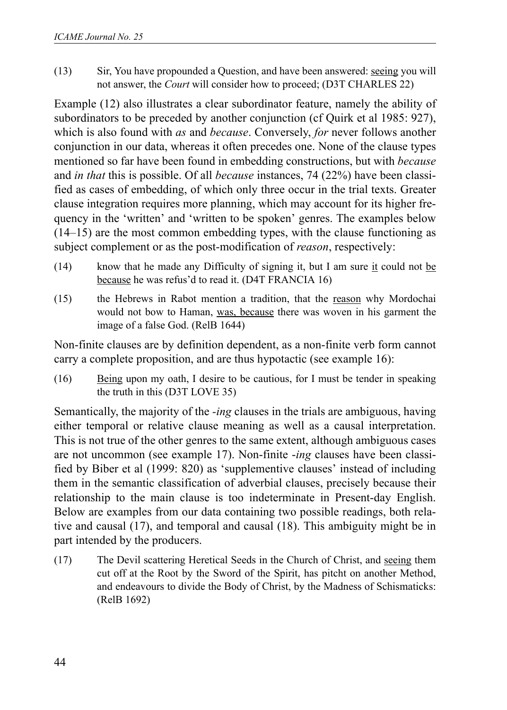(13) Sir, You have propounded a Question, and have been answered: seeing you will not answer, the *Court* will consider how to proceed; (D3T CHARLES 22)

Example (12) also illustrates a clear subordinator feature, namely the ability of subordinators to be preceded by another conjunction (cf Quirk et al 1985: 927), which is also found with *as* and *because*. Conversely, *for* never follows another conjunction in our data, whereas it often precedes one. None of the clause types mentioned so far have been found in embedding constructions, but with *because* and *in that* this is possible. Of all *because* instances, 74 (22%) have been classified as cases of embedding, of which only three occur in the trial texts. Greater clause integration requires more planning, which may account for its higher frequency in the 'written' and 'written to be spoken' genres. The examples below (14–15) are the most common embedding types, with the clause functioning as subject complement or as the post-modification of *reason*, respectively:

- (14) know that he made any Difficulty of signing it, but I am sure it could not be because he was refus'd to read it. (D4T FRANCIA 16)
- (15) the Hebrews in Rabot mention a tradition, that the reason why Mordochai would not bow to Haman, was, because there was woven in his garment the image of a false God. (RelB 1644)

Non-finite clauses are by definition dependent, as a non-finite verb form cannot carry a complete proposition, and are thus hypotactic (see example 16):

(16) Being upon my oath, I desire to be cautious, for I must be tender in speaking the truth in this (D3T LOVE 35)

Semantically, the majority of the *-ing* clauses in the trials are ambiguous, having either temporal or relative clause meaning as well as a causal interpretation. This is not true of the other genres to the same extent, although ambiguous cases are not uncommon (see example 17). Non-finite -*ing* clauses have been classified by Biber et al (1999: 820) as 'supplementive clauses' instead of including them in the semantic classification of adverbial clauses, precisely because their relationship to the main clause is too indeterminate in Present-day English. Below are examples from our data containing two possible readings, both relative and causal (17), and temporal and causal (18). This ambiguity might be in part intended by the producers.

(17) The Devil scattering Heretical Seeds in the Church of Christ, and seeing them cut off at the Root by the Sword of the Spirit, has pitcht on another Method, and endeavours to divide the Body of Christ, by the Madness of Schismaticks: (RelB 1692)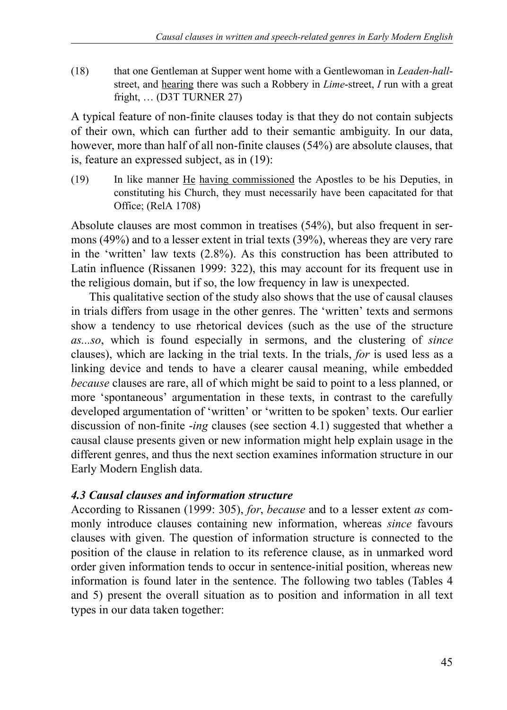(18) that one Gentleman at Supper went home with a Gentlewoman in *Leaden-hall*street, and hearing there was such a Robbery in *Lime*-street, *I* run with a great fright, … (D3T TURNER 27)

A typical feature of non-finite clauses today is that they do not contain subjects of their own, which can further add to their semantic ambiguity. In our data, however, more than half of all non-finite clauses (54%) are absolute clauses, that is, feature an expressed subject, as in (19):

(19) In like manner He having commissioned the Apostles to be his Deputies, in constituting his Church, they must necessarily have been capacitated for that Office; (RelA 1708)

Absolute clauses are most common in treatises (54%), but also frequent in sermons (49%) and to a lesser extent in trial texts (39%), whereas they are very rare in the 'written' law texts (2.8%). As this construction has been attributed to Latin influence (Rissanen 1999: 322), this may account for its frequent use in the religious domain, but if so, the low frequency in law is unexpected.

This qualitative section of the study also shows that the use of causal clauses in trials differs from usage in the other genres. The 'written' texts and sermons show a tendency to use rhetorical devices (such as the use of the structure *as...so*, which is found especially in sermons, and the clustering of *since* clauses), which are lacking in the trial texts. In the trials, *for* is used less as a linking device and tends to have a clearer causal meaning, while embedded *because* clauses are rare, all of which might be said to point to a less planned, or more 'spontaneous' argumentation in these texts, in contrast to the carefully developed argumentation of 'written' or 'written to be spoken' texts. Our earlier discussion of non-finite -*ing* clauses (see section 4.1) suggested that whether a causal clause presents given or new information might help explain usage in the different genres, and thus the next section examines information structure in our Early Modern English data.

### *4.3 Causal clauses and information structure*

According to Rissanen (1999: 305), *for*, *because* and to a lesser extent *as* commonly introduce clauses containing new information, whereas *since* favours clauses with given. The question of information structure is connected to the position of the clause in relation to its reference clause, as in unmarked word order given information tends to occur in sentence-initial position, whereas new information is found later in the sentence. The following two tables (Tables 4 and 5) present the overall situation as to position and information in all text types in our data taken together: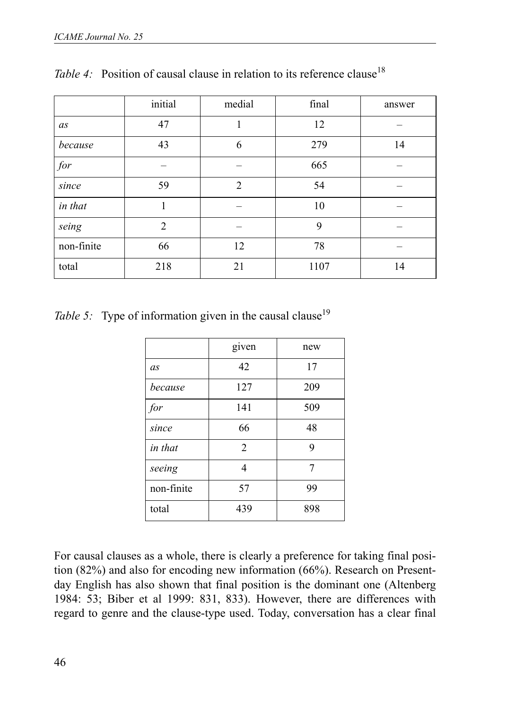|            | initial        | medial         | final | answer |
|------------|----------------|----------------|-------|--------|
| as         | 47             |                | 12    |        |
| because    | 43             | 6              | 279   | 14     |
| for        |                |                | 665   |        |
| since      | 59             | $\overline{2}$ | 54    |        |
| in that    | 1              |                | 10    |        |
| seing      | $\overline{2}$ |                | 9     |        |
| non-finite | 66             | 12             | 78    |        |
| total      | 218            | 21             | 1107  | 14     |

*Table 4:* Position of causal clause in relation to its reference clause<sup>18</sup>

*Table 5:* Type of information given in the causal clause<sup>19</sup>

|            | given          | new |
|------------|----------------|-----|
| as         | 42             | 17  |
| because    | 127            | 209 |
| for        | 141            | 509 |
| since      | 66             | 48  |
| in that    | $\overline{2}$ | 9   |
| seeing     | 4              | 7   |
| non-finite | 57             | 99  |
| total      | 439            | 898 |

For causal clauses as a whole, there is clearly a preference for taking final position (82%) and also for encoding new information (66%). Research on Presentday English has also shown that final position is the dominant one (Altenberg 1984: 53; Biber et al 1999: 831, 833). However, there are differences with regard to genre and the clause-type used. Today, conversation has a clear final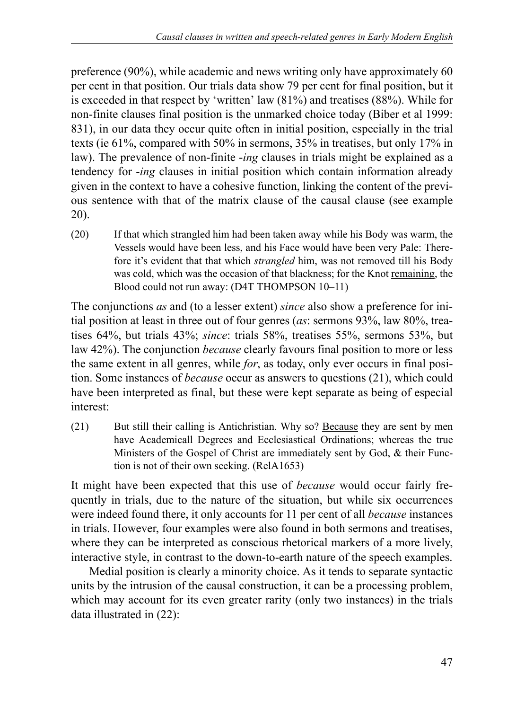preference (90%), while academic and news writing only have approximately 60 per cent in that position. Our trials data show 79 per cent for final position, but it is exceeded in that respect by 'written' law (81%) and treatises (88%). While for non-finite clauses final position is the unmarked choice today (Biber et al 1999: 831), in our data they occur quite often in initial position, especially in the trial texts (ie 61%, compared with 50% in sermons, 35% in treatises, but only 17% in law). The prevalence of non-finite -*ing* clauses in trials might be explained as a tendency for -*ing* clauses in initial position which contain information already given in the context to have a cohesive function, linking the content of the previous sentence with that of the matrix clause of the causal clause (see example 20).

(20) If that which strangled him had been taken away while his Body was warm, the Vessels would have been less, and his Face would have been very Pale: Therefore it's evident that that which *strangled* him, was not removed till his Body was cold, which was the occasion of that blackness; for the Knot remaining, the Blood could not run away: (D4T THOMPSON 10–11)

The conjunctions *as* and (to a lesser extent) *since* also show a preference for initial position at least in three out of four genres (*as*: sermons 93%, law 80%, treatises 64%, but trials 43%; *since*: trials 58%, treatises 55%, sermons 53%, but law 42%). The conjunction *because* clearly favours final position to more or less the same extent in all genres, while *for*, as today, only ever occurs in final position. Some instances of *because* occur as answers to questions (21), which could have been interpreted as final, but these were kept separate as being of especial interest:

(21) But still their calling is Antichristian. Why so? Because they are sent by men have Academicall Degrees and Ecclesiastical Ordinations; whereas the true Ministers of the Gospel of Christ are immediately sent by God, & their Function is not of their own seeking. (RelA1653)

It might have been expected that this use of *because* would occur fairly frequently in trials, due to the nature of the situation, but while six occurrences were indeed found there, it only accounts for 11 per cent of all *because* instances in trials. However, four examples were also found in both sermons and treatises, where they can be interpreted as conscious rhetorical markers of a more lively, interactive style, in contrast to the down-to-earth nature of the speech examples.

Medial position is clearly a minority choice. As it tends to separate syntactic units by the intrusion of the causal construction, it can be a processing problem, which may account for its even greater rarity (only two instances) in the trials data illustrated in (22):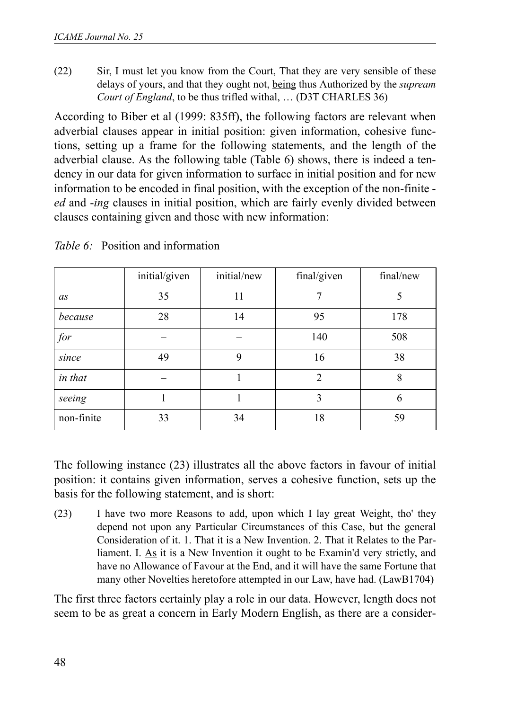(22) Sir, I must let you know from the Court, That they are very sensible of these delays of yours, and that they ought not, being thus Authorized by the *supream Court of England*, to be thus trifled withal, … (D3T CHARLES 36)

According to Biber et al (1999: 835ff), the following factors are relevant when adverbial clauses appear in initial position: given information, cohesive functions, setting up a frame for the following statements, and the length of the adverbial clause. As the following table (Table 6) shows, there is indeed a tendency in our data for given information to surface in initial position and for new information to be encoded in final position, with the exception of the non-finite *ed* and -*ing* clauses in initial position, which are fairly evenly divided between clauses containing given and those with new information:

|            | initial/given | initial/new | final/given    | final/new |
|------------|---------------|-------------|----------------|-----------|
| as         | 35            | 11          |                | 5         |
| because    | 28            | 14          | 95             | 178       |
| for        |               |             | 140            | 508       |
| since      | 49            | 9           | 16             | 38        |
| in that    |               |             | $\mathfrak{D}$ | 8         |
| seeing     |               |             | 3              | 6         |
| non-finite | 33            | 34          | 18             | 59        |

*Table 6:* Position and information

The following instance (23) illustrates all the above factors in favour of initial position: it contains given information, serves a cohesive function, sets up the basis for the following statement, and is short:

(23) I have two more Reasons to add, upon which I lay great Weight, tho' they depend not upon any Particular Circumstances of this Case, but the general Consideration of it. 1. That it is a New Invention. 2. That it Relates to the Parliament. I. As it is a New Invention it ought to be Examin'd very strictly, and have no Allowance of Favour at the End, and it will have the same Fortune that many other Novelties heretofore attempted in our Law, have had. (LawB1704)

The first three factors certainly play a role in our data. However, length does not seem to be as great a concern in Early Modern English, as there are a consider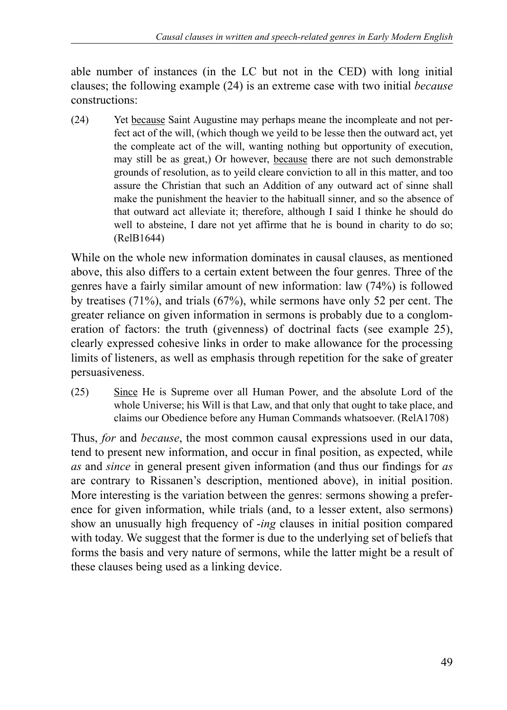able number of instances (in the LC but not in the CED) with long initial clauses; the following example (24) is an extreme case with two initial *because* constructions:

(24) Yet because Saint Augustine may perhaps meane the incompleate and not perfect act of the will, (which though we yeild to be lesse then the outward act, yet the compleate act of the will, wanting nothing but opportunity of execution, may still be as great,) Or however, because there are not such demonstrable grounds of resolution, as to yeild cleare conviction to all in this matter, and too assure the Christian that such an Addition of any outward act of sinne shall make the punishment the heavier to the habituall sinner, and so the absence of that outward act alleviate it; therefore, although I said I thinke he should do well to absteine, I dare not yet affirme that he is bound in charity to do so; (RelB1644)

While on the whole new information dominates in causal clauses, as mentioned above, this also differs to a certain extent between the four genres. Three of the genres have a fairly similar amount of new information: law (74%) is followed by treatises (71%), and trials (67%), while sermons have only 52 per cent. The greater reliance on given information in sermons is probably due to a conglomeration of factors: the truth (givenness) of doctrinal facts (see example 25), clearly expressed cohesive links in order to make allowance for the processing limits of listeners, as well as emphasis through repetition for the sake of greater persuasiveness.

(25) Since He is Supreme over all Human Power, and the absolute Lord of the whole Universe; his Will is that Law, and that only that ought to take place, and claims our Obedience before any Human Commands whatsoever. (RelA1708)

Thus, *for* and *because*, the most common causal expressions used in our data, tend to present new information, and occur in final position, as expected, while *as* and *since* in general present given information (and thus our findings for *as* are contrary to Rissanen's description, mentioned above), in initial position. More interesting is the variation between the genres: sermons showing a preference for given information, while trials (and, to a lesser extent, also sermons) show an unusually high frequency of -*ing* clauses in initial position compared with today. We suggest that the former is due to the underlying set of beliefs that forms the basis and very nature of sermons, while the latter might be a result of these clauses being used as a linking device.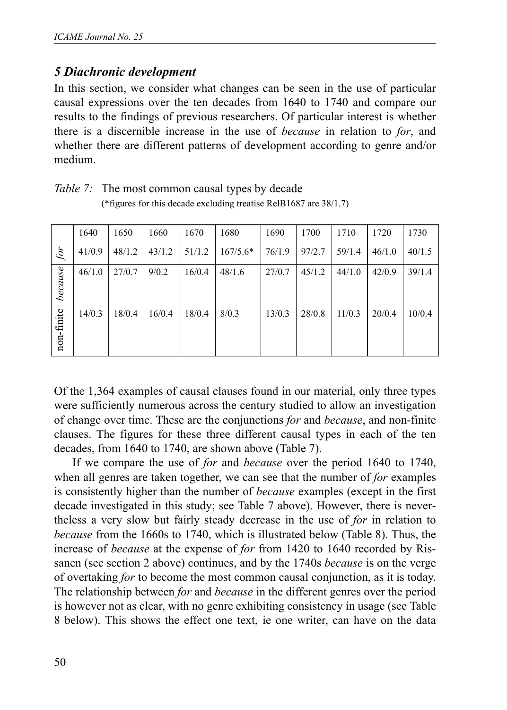## *5 Diachronic development*

In this section, we consider what changes can be seen in the use of particular causal expressions over the ten decades from 1640 to 1740 and compare our results to the findings of previous researchers. Of particular interest is whether there is a discernible increase in the use of *because* in relation to *for*, and whether there are different patterns of development according to genre and/or medium.

|            | 1640   | 1650   | 1660   | 1670   | 1680       | 1690   | 1700   | 1710   | 1720   | 1730   |
|------------|--------|--------|--------|--------|------------|--------|--------|--------|--------|--------|
| for        | 41/0.9 | 48/1.2 | 43/1.2 | 51/1.2 | $167/5.6*$ | 76/1.9 | 97/2.7 | 59/1.4 | 46/1.0 | 40/1.5 |
| because    | 46/1.0 | 27/0.7 | 9/0.2  | 16/0.4 | 48/1.6     | 27/0.7 | 45/1.2 | 44/1.0 | 42/0.9 | 39/1.4 |
| non-finite | 14/0.3 | 18/0.4 | 16/0.4 | 18/0.4 | 8/0.3      | 13/0.3 | 28/0.8 | 11/0.3 | 20/0.4 | 10/0.4 |

*Table 7:* The most common causal types by decade (\*figures for this decade excluding treatise RelB1687 are 38/1.7)

Of the 1,364 examples of causal clauses found in our material, only three types were sufficiently numerous across the century studied to allow an investigation of change over time. These are the conjunctions *for* and *because*, and non-finite clauses. The figures for these three different causal types in each of the ten decades, from 1640 to 1740, are shown above (Table 7).

If we compare the use of *for* and *because* over the period 1640 to 1740, when all genres are taken together, we can see that the number of *for* examples is consistently higher than the number of *because* examples (except in the first decade investigated in this study; see Table 7 above). However, there is nevertheless a very slow but fairly steady decrease in the use of *for* in relation to *because* from the 1660s to 1740, which is illustrated below (Table 8). Thus, the increase of *because* at the expense of *for* from 1420 to 1640 recorded by Rissanen (see section 2 above) continues, and by the 1740s *because* is on the verge of overtaking *for* to become the most common causal conjunction, as it is today. The relationship between *for* and *because* in the different genres over the period is however not as clear, with no genre exhibiting consistency in usage (see Table 8 below). This shows the effect one text, ie one writer, can have on the data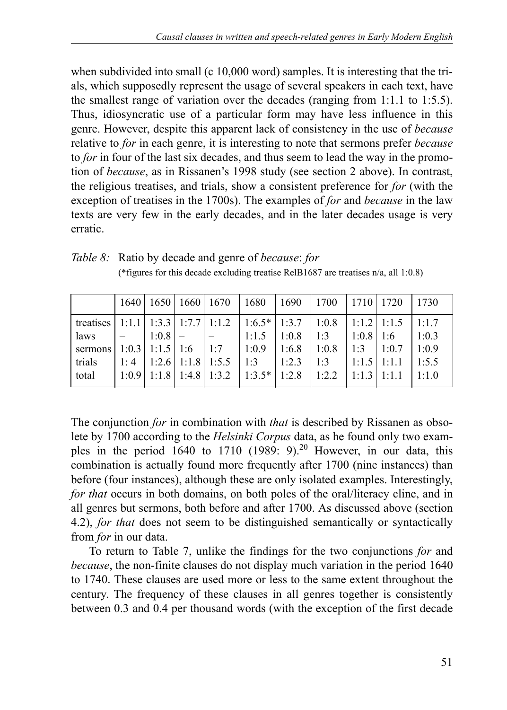when subdivided into small (c 10,000 word) samples. It is interesting that the trials, which supposedly represent the usage of several speakers in each text, have the smallest range of variation over the decades (ranging from 1:1.1 to 1:5.5). Thus, idiosyncratic use of a particular form may have less influence in this genre. However, despite this apparent lack of consistency in the use of *because* relative to *for* in each genre, it is interesting to note that sermons prefer *because* to *for* in four of the last six decades, and thus seem to lead the way in the promotion of *because*, as in Rissanen's 1998 study (see section 2 above). In contrast, the religious treatises, and trials, show a consistent preference for *for* (with the exception of treatises in the 1700s). The examples of *for* and *because* in the law texts are very few in the early decades, and in the later decades usage is very erratic.

|                                                            | 1640                                                    |                       | 1650   1660   1670      |     | 1680           | 1690  | 1700  | 1710  | 1720  | 1730  |
|------------------------------------------------------------|---------------------------------------------------------|-----------------------|-------------------------|-----|----------------|-------|-------|-------|-------|-------|
| treatises   1:1.1   1:3.3   1:7.7   1:1.2   1:6.5*   1:3.7 |                                                         |                       |                         |     |                |       | 1:0.8 | 1:1.2 | 1:1.5 | 1:1.7 |
| laws                                                       |                                                         | 1:0.8                 |                         |     | 1:1.5          | 1:0.8 | 1:3   | 1:0.8 | 1.6   | 1:0.3 |
| sermons                                                    |                                                         | $1:0.3$   1:1.5   1:6 |                         | 1:7 | 1:0.9          | 1:6.8 | 1:0.8 | 1:3   | 1:0.7 | 1:0.9 |
| trials                                                     | 1:4                                                     |                       | $1:2.6$   1:1.8   1:5.5 |     | 1:3            | 1:2.3 | 1:3   | 1:1.5 | 1:1.1 | 1:5.5 |
| total                                                      | $\vert 1:0.9 \vert 1:1.8 \vert 1:4.8 \vert 1:3.2 \vert$ |                       |                         |     | $1:3.5*$ 1:2.8 |       | 1:2.2 | 1:1.3 | 1:1.1 | 1:1.0 |

*Table 8:* Ratio by decade and genre of *because*: *for* (\*figures for this decade excluding treatise RelB1687 are treatises n/a, all 1:0.8)

The conjunction *for* in combination with *that* is described by Rissanen as obsolete by 1700 according to the *Helsinki Corpus* data, as he found only two examples in the period 1640 to 1710 (1989: 9).<sup>20</sup> However, in our data, this combination is actually found more frequently after 1700 (nine instances) than before (four instances), although these are only isolated examples. Interestingly, *for that* occurs in both domains, on both poles of the oral/literacy cline, and in all genres but sermons, both before and after 1700. As discussed above (section 4.2), *for that* does not seem to be distinguished semantically or syntactically from *for* in our data.

To return to Table 7, unlike the findings for the two conjunctions *for* and *because*, the non-finite clauses do not display much variation in the period 1640 to 1740. These clauses are used more or less to the same extent throughout the century. The frequency of these clauses in all genres together is consistently between 0.3 and 0.4 per thousand words (with the exception of the first decade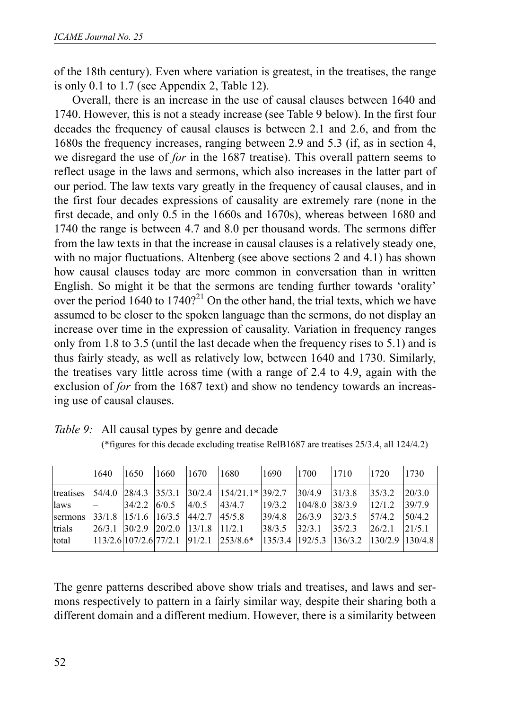of the 18th century). Even where variation is greatest, in the treatises, the range is only 0.1 to 1.7 (see Appendix 2, Table 12).

Overall, there is an increase in the use of causal clauses between 1640 and 1740. However, this is not a steady increase (see Table 9 below). In the first four decades the frequency of causal clauses is between 2.1 and 2.6, and from the 1680s the frequency increases, ranging between 2.9 and 5.3 (if, as in section 4, we disregard the use of *for* in the 1687 treatise). This overall pattern seems to reflect usage in the laws and sermons, which also increases in the latter part of our period. The law texts vary greatly in the frequency of causal clauses, and in the first four decades expressions of causality are extremely rare (none in the first decade, and only 0.5 in the 1660s and 1670s), whereas between 1680 and 1740 the range is between 4.7 and 8.0 per thousand words. The sermons differ from the law texts in that the increase in causal clauses is a relatively steady one, with no major fluctuations. Altenberg (see above sections 2 and 4.1) has shown how causal clauses today are more common in conversation than in written English. So might it be that the sermons are tending further towards 'orality' over the period  $1640$  to  $1740$ ?<sup>21</sup> On the other hand, the trial texts, which we have assumed to be closer to the spoken language than the sermons, do not display an increase over time in the expression of causality. Variation in frequency ranges only from 1.8 to 3.5 (until the last decade when the frequency rises to 5.1) and is thus fairly steady, as well as relatively low, between 1640 and 1730. Similarly, the treatises vary little across time (with a range of 2.4 to 4.9, again with the exclusion of *for* from the 1687 text) and show no tendency towards an increasing use of causal clauses.

|           | 1640                     | 1650   | 1660   | 1670   | 1680        | 1690    | 1700    | 1710    | 1720    | 1730    |
|-----------|--------------------------|--------|--------|--------|-------------|---------|---------|---------|---------|---------|
| treatises | 54/4.0                   | 28/4.3 | 35/3.1 | 30/2.4 | $154/21.1*$ | 39/2.7  | 30/4.9  | 31/3.8  | 35/3.2  | 20/3.0  |
| laws      |                          | 34/2.2 | 6/0.5  | 4/0.5  | 43/4.7      | 19/3.2  | 104/8.0 | 38/3.9  | 12/1.2  | 39/7.9  |
| sermons   | 33/1.8                   | 15/1.6 | 16/3.5 | 44/2.7 | 45/5.8      | 39/4.8  | 26/3.9  | 32/3.5  | 57/4.2  | 50/4.2  |
| trials    | 26/3.1                   | 30/2.9 | 20/2.0 | 13/1.8 | 11/2.1      | 38/3.5  | 32/3.1  | 35/2.3  | 26/2.1  | 21/5.1  |
| total     | $113/2.6$ 107/2.6 77/2.1 |        |        | 91/2.1 | $253/8.6*$  | 135/3.4 | 192/5.3 | 136/3.2 | 130/2.9 | 130/4.8 |

*Table 9:* All causal types by genre and decade

The genre patterns described above show trials and treatises, and laws and sermons respectively to pattern in a fairly similar way, despite their sharing both a different domain and a different medium. However, there is a similarity between

<sup>(\*</sup>figures for this decade excluding treatise RelB1687 are treatises 25/3.4, all 124/4.2)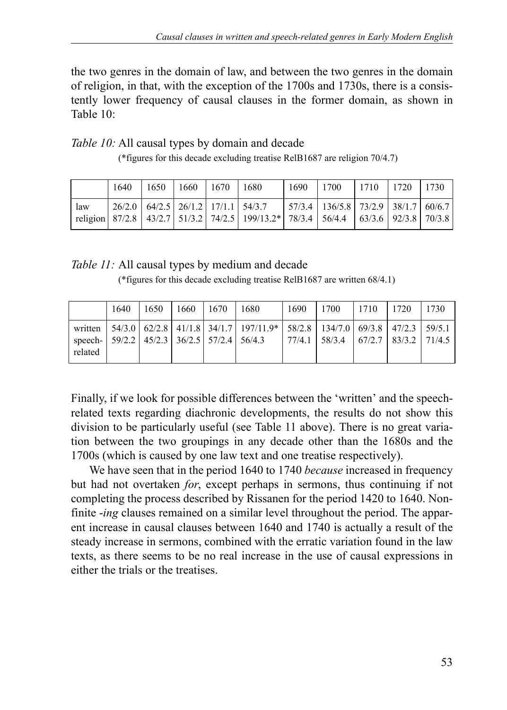the two genres in the domain of law, and between the two genres in the domain of religion, in that, with the exception of the 1700s and 1730s, there is a consistently lower frequency of causal clauses in the former domain, as shown in Table 10:

| Table 10: All causal types by domain and decade |  |
|-------------------------------------------------|--|
|-------------------------------------------------|--|

|  | (*figures for this decade excluding treatise RelB1687 are religion 70/4.7) |  |  |  |  |
|--|----------------------------------------------------------------------------|--|--|--|--|
|  |                                                                            |  |  |  |  |

|     | 1640 | 1650 | 1660   1670   1680 |                                                                                                                                                            | 1690 | 1700                                               | 1710 | 1720 | 1730 |
|-----|------|------|--------------------|------------------------------------------------------------------------------------------------------------------------------------------------------------|------|----------------------------------------------------|------|------|------|
| law |      |      |                    | $\mid$ 26/2.0 $\mid$ 64/2.5 $\mid$ 26/1.2 $\mid$ 17/1.1 $\mid$ 54/3.7<br>religion 87/2.8 43/2.7 51/3.2 74/2.5 199/13.2* 78/3.4 56/4.4 63/3.6 92/3.8 70/3.8 |      | $\mid$ 57/3.4   136/5.8   73/2.9   38/1.7   60/6.7 |      |      |      |

#### *Table 11:* All causal types by medium and decade

(\*figures for this decade excluding treatise RelB1687 are written 68/4.1)

|                                                                           | 1640 | 1650 | 1660 | 1670 | 1680                                                                                                  | 1690 | 1700                                         | 1710 | 1720 | 1730 |
|---------------------------------------------------------------------------|------|------|------|------|-------------------------------------------------------------------------------------------------------|------|----------------------------------------------|------|------|------|
| speech-   $59/2.2$   $45/2.3$   $36/2.5$   $57/2.4$   $56/4.3$<br>related |      |      |      |      | written   54/3.0   62/2.8   41/1.8   34/1.7   197/11.9*   58/2.8   134/7.0   69/3.8   47/2.3   59/5.1 |      | $77/4.1$   58/3.4   67/2.7   83/3.2   71/4.5 |      |      |      |

Finally, if we look for possible differences between the 'written' and the speechrelated texts regarding diachronic developments, the results do not show this division to be particularly useful (see Table 11 above). There is no great variation between the two groupings in any decade other than the 1680s and the 1700s (which is caused by one law text and one treatise respectively).

We have seen that in the period 1640 to 1740 *because* increased in frequency but had not overtaken *for*, except perhaps in sermons, thus continuing if not completing the process described by Rissanen for the period 1420 to 1640. Nonfinite -*ing* clauses remained on a similar level throughout the period. The apparent increase in causal clauses between 1640 and 1740 is actually a result of the steady increase in sermons, combined with the erratic variation found in the law texts, as there seems to be no real increase in the use of causal expressions in either the trials or the treatises.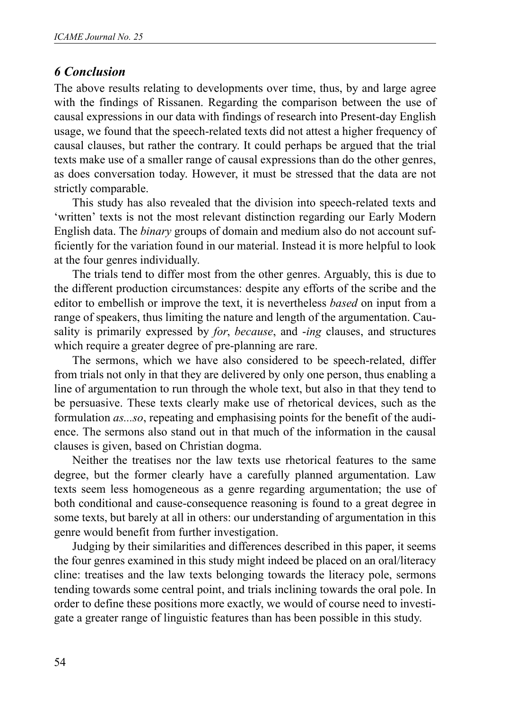## *6 Conclusion*

The above results relating to developments over time, thus, by and large agree with the findings of Rissanen. Regarding the comparison between the use of causal expressions in our data with findings of research into Present-day English usage, we found that the speech-related texts did not attest a higher frequency of causal clauses, but rather the contrary. It could perhaps be argued that the trial texts make use of a smaller range of causal expressions than do the other genres, as does conversation today. However, it must be stressed that the data are not strictly comparable.

This study has also revealed that the division into speech-related texts and 'written' texts is not the most relevant distinction regarding our Early Modern English data. The *binary* groups of domain and medium also do not account sufficiently for the variation found in our material. Instead it is more helpful to look at the four genres individually.

The trials tend to differ most from the other genres. Arguably, this is due to the different production circumstances: despite any efforts of the scribe and the editor to embellish or improve the text, it is nevertheless *based* on input from a range of speakers, thus limiting the nature and length of the argumentation. Causality is primarily expressed by *for*, *because*, and -*ing* clauses, and structures which require a greater degree of pre-planning are rare.

The sermons, which we have also considered to be speech-related, differ from trials not only in that they are delivered by only one person, thus enabling a line of argumentation to run through the whole text, but also in that they tend to be persuasive. These texts clearly make use of rhetorical devices, such as the formulation *as...so*, repeating and emphasising points for the benefit of the audience. The sermons also stand out in that much of the information in the causal clauses is given, based on Christian dogma.

Neither the treatises nor the law texts use rhetorical features to the same degree, but the former clearly have a carefully planned argumentation. Law texts seem less homogeneous as a genre regarding argumentation; the use of both conditional and cause-consequence reasoning is found to a great degree in some texts, but barely at all in others: our understanding of argumentation in this genre would benefit from further investigation.

Judging by their similarities and differences described in this paper, it seems the four genres examined in this study might indeed be placed on an oral/literacy cline: treatises and the law texts belonging towards the literacy pole, sermons tending towards some central point, and trials inclining towards the oral pole. In order to define these positions more exactly, we would of course need to investigate a greater range of linguistic features than has been possible in this study.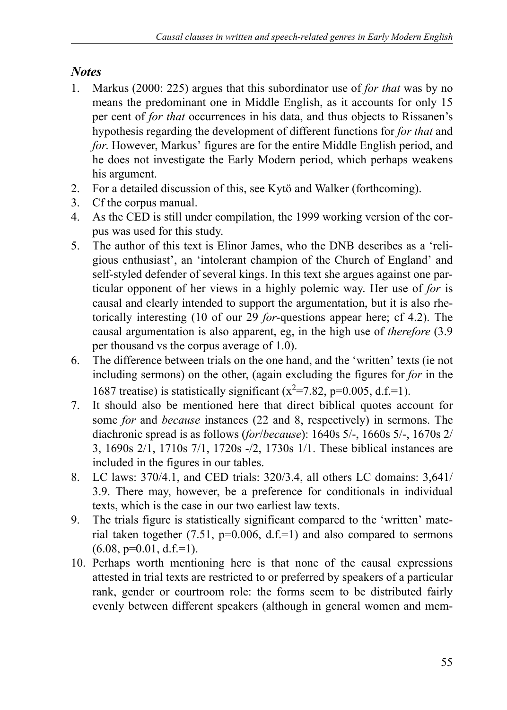# *Notes*

- 1. Markus (2000: 225) argues that this subordinator use of *for that* was by no means the predominant one in Middle English, as it accounts for only 15 per cent of *for that* occurrences in his data, and thus objects to Rissanen's hypothesis regarding the development of different functions for *for that* and *for*. However, Markus' figures are for the entire Middle English period, and he does not investigate the Early Modern period, which perhaps weakens his argument.
- 2. For a detailed discussion of this, see Kytö and Walker (forthcoming).
- 3. Cf the corpus manual.
- 4. As the CED is still under compilation, the 1999 working version of the corpus was used for this study.
- 5. The author of this text is Elinor James, who the DNB describes as a 'religious enthusiast', an 'intolerant champion of the Church of England' and self-styled defender of several kings. In this text she argues against one particular opponent of her views in a highly polemic way. Her use of *for* is causal and clearly intended to support the argumentation, but it is also rhetorically interesting (10 of our 29 *for*-questions appear here; cf 4.2). The causal argumentation is also apparent, eg, in the high use of *therefore* (3.9 per thousand vs the corpus average of 1.0).
- 6. The difference between trials on the one hand, and the 'written' texts (ie not including sermons) on the other, (again excluding the figures for *for* in the 1687 treatise) is statistically significant ( $x^2$ =7.82, p=0.005, d.f.=1).
- 7. It should also be mentioned here that direct biblical quotes account for some *for* and *because* instances (22 and 8, respectively) in sermons. The diachronic spread is as follows (*for*/*because*): 1640s 5/-, 1660s 5/-, 1670s 2/ 3, 1690s 2/1, 1710s 7/1, 1720s -/2, 1730s 1/1. These biblical instances are included in the figures in our tables.
- 8. LC laws: 370/4.1, and CED trials: 320/3.4, all others LC domains: 3,641/ 3.9. There may, however, be a preference for conditionals in individual texts, which is the case in our two earliest law texts.
- 9. The trials figure is statistically significant compared to the 'written' material taken together  $(7.51, p=0.006, d.f.=1)$  and also compared to sermons  $(6.08, p=0.01, d.f.=1).$
- 10. Perhaps worth mentioning here is that none of the causal expressions attested in trial texts are restricted to or preferred by speakers of a particular rank, gender or courtroom role: the forms seem to be distributed fairly evenly between different speakers (although in general women and mem-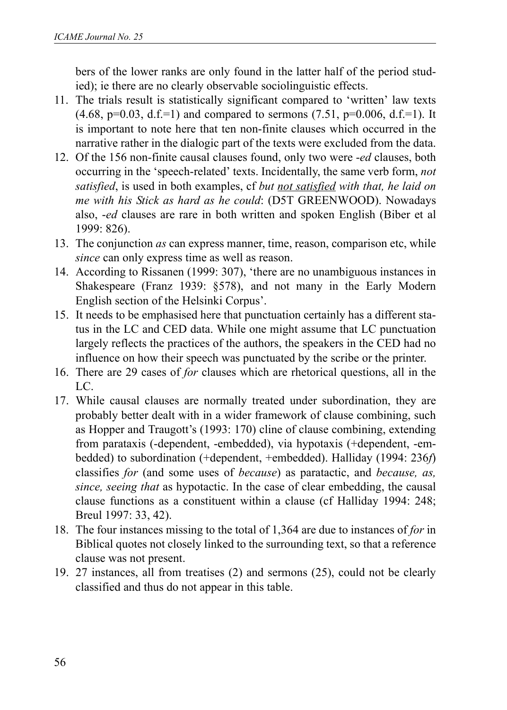bers of the lower ranks are only found in the latter half of the period studied); ie there are no clearly observable sociolinguistic effects.

- 11. The trials result is statistically significant compared to 'written' law texts  $(4.68, p=0.03, d.f.=1)$  and compared to sermons  $(7.51, p=0.006, d.f.=1)$ . It is important to note here that ten non-finite clauses which occurred in the narrative rather in the dialogic part of the texts were excluded from the data.
- 12. Of the 156 non-finite causal clauses found, only two were -*ed* clauses, both occurring in the 'speech-related' texts. Incidentally, the same verb form, *not satisfied*, is used in both examples, cf *but not satisfied with that, he laid on me with his Stick as hard as he could*: (D5T GREENWOOD). Nowadays also, -*ed* clauses are rare in both written and spoken English (Biber et al 1999: 826).
- 13. The conjunction *as* can express manner, time, reason, comparison etc, while *since* can only express time as well as reason.
- 14. According to Rissanen (1999: 307), 'there are no unambiguous instances in Shakespeare (Franz 1939: §578), and not many in the Early Modern English section of the Helsinki Corpus'.
- 15. It needs to be emphasised here that punctuation certainly has a different status in the LC and CED data. While one might assume that LC punctuation largely reflects the practices of the authors, the speakers in the CED had no influence on how their speech was punctuated by the scribe or the printer.
- 16. There are 29 cases of *for* clauses which are rhetorical questions, all in the LC.
- 17. While causal clauses are normally treated under subordination, they are probably better dealt with in a wider framework of clause combining, such as Hopper and Traugott's (1993: 170) cline of clause combining, extending from parataxis (-dependent, -embedded), via hypotaxis (+dependent, -embedded) to subordination (+dependent, +embedded). Halliday (1994: 236*f*) classifies *for* (and some uses of *because*) as paratactic, and *because, as, since, seeing that* as hypotactic. In the case of clear embedding, the causal clause functions as a constituent within a clause (cf Halliday 1994: 248; Breul 1997: 33, 42).
- 18. The four instances missing to the total of 1,364 are due to instances of *for* in Biblical quotes not closely linked to the surrounding text, so that a reference clause was not present.
- 19. 27 instances, all from treatises (2) and sermons (25), could not be clearly classified and thus do not appear in this table.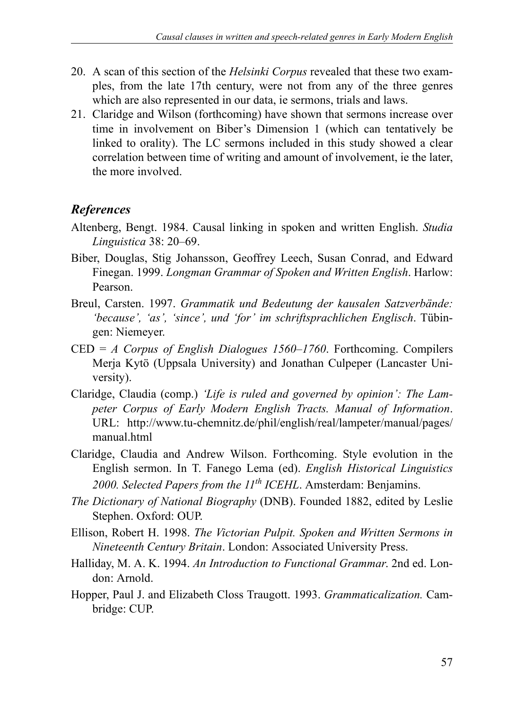- 20. A scan of this section of the *Helsinki Corpus* revealed that these two examples, from the late 17th century, were not from any of the three genres which are also represented in our data, ie sermons, trials and laws.
- 21. Claridge and Wilson (forthcoming) have shown that sermons increase over time in involvement on Biber's Dimension 1 (which can tentatively be linked to orality). The LC sermons included in this study showed a clear correlation between time of writing and amount of involvement, ie the later, the more involved.

# *References*

- Altenberg, Bengt. 1984. Causal linking in spoken and written English. *Studia Linguistica* 38: 20–69.
- Biber, Douglas, Stig Johansson, Geoffrey Leech, Susan Conrad, and Edward Finegan. 1999. *Longman Grammar of Spoken and Written English*. Harlow: Pearson.
- Breul, Carsten. 1997. *Grammatik und Bedeutung der kausalen Satzverbände: 'because', 'as', 'since', und 'for' im schriftsprachlichen Englisch*. Tübingen: Niemeyer.
- CED = *A Corpus of English Dialogues 1560–1760*. Forthcoming. Compilers Merja Kytö (Uppsala University) and Jonathan Culpeper (Lancaster University).
- Claridge, Claudia (comp.) *'Life is ruled and governed by opinion': The Lampeter Corpus of Early Modern English Tracts. Manual of Information*. URL: http://www.tu-chemnitz.de/phil/english/real/lampeter/manual/pages/ manual.html
- Claridge, Claudia and Andrew Wilson. Forthcoming. Style evolution in the English sermon. In T. Fanego Lema (ed). *English Historical Linguistics 2000. Selected Papers from the 11th ICEHL*. Amsterdam: Benjamins.
- *The Dictionary of National Biography* (DNB). Founded 1882, edited by Leslie Stephen. Oxford: OUP.
- Ellison, Robert H. 1998. *The Victorian Pulpit. Spoken and Written Sermons in Nineteenth Century Britain*. London: Associated University Press.
- Halliday, M. A. K. 1994. *An Introduction to Functional Grammar*. 2nd ed. London: Arnold.
- Hopper, Paul J. and Elizabeth Closs Traugott. 1993. *Grammaticalization.* Cambridge: CUP.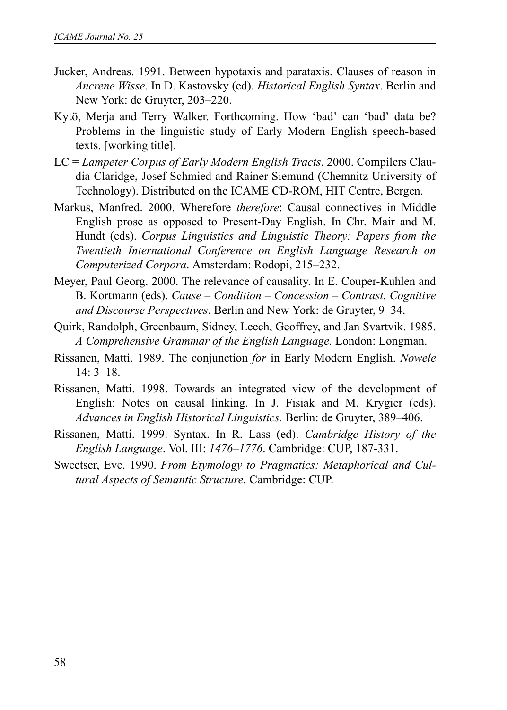- Jucker, Andreas. 1991. Between hypotaxis and parataxis. Clauses of reason in *Ancrene Wisse*. In D. Kastovsky (ed). *Historical English Syntax*. Berlin and New York: de Gruyter, 203–220.
- Kytö, Merja and Terry Walker. Forthcoming. How 'bad' can 'bad' data be? Problems in the linguistic study of Early Modern English speech-based texts. [working title].
- LC = *Lampeter Corpus of Early Modern English Tracts*. 2000. Compilers Claudia Claridge, Josef Schmied and Rainer Siemund (Chemnitz University of Technology). Distributed on the ICAME CD-ROM, HIT Centre, Bergen.
- Markus, Manfred. 2000. Wherefore *therefore*: Causal connectives in Middle English prose as opposed to Present-Day English. In Chr. Mair and M. Hundt (eds). *Corpus Linguistics and Linguistic Theory: Papers from the Twentieth International Conference on English Language Research on Computerized Corpora*. Amsterdam: Rodopi, 215–232.
- Meyer, Paul Georg. 2000. The relevance of causality. In E. Couper-Kuhlen and B. Kortmann (eds). *Cause – Condition – Concession – Contrast. Cognitive and Discourse Perspectives*. Berlin and New York: de Gruyter, 9–34.
- Quirk, Randolph, Greenbaum, Sidney, Leech, Geoffrey, and Jan Svartvik. 1985. *A Comprehensive Grammar of the English Language.* London: Longman.
- Rissanen, Matti. 1989. The conjunction *for* in Early Modern English. *Nowele* 14: 3–18.
- Rissanen, Matti. 1998. Towards an integrated view of the development of English: Notes on causal linking. In J. Fisiak and M. Krygier (eds). *Advances in English Historical Linguistics.* Berlin: de Gruyter, 389–406.
- Rissanen, Matti. 1999. Syntax. In R. Lass (ed). *Cambridge History of the English Language*. Vol. III: *1476–1776*. Cambridge: CUP, 187-331.
- Sweetser, Eve. 1990. *From Etymology to Pragmatics: Metaphorical and Cultural Aspects of Semantic Structure.* Cambridge: CUP.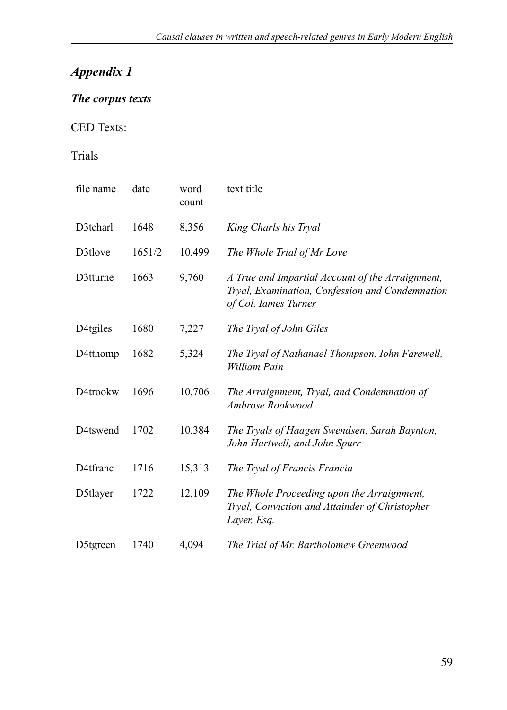# *Appendix 1*

## *The corpus texts*

# CED Texts:

## Trials

| file name            | date   | word<br>count | text title                                                                                                                  |
|----------------------|--------|---------------|-----------------------------------------------------------------------------------------------------------------------------|
| D3tcharl             | 1648   | 8,356         | King Charls his Tryal                                                                                                       |
| D3tlove              | 1651/2 | 10,499        | The Whole Trial of Mr Love                                                                                                  |
| D3tturne             | 1663   | 9,760         | A True and Impartial Account of the Arraignment,<br>Tryal, Examination, Confession and Condemnation<br>of Col. Iames Turner |
| D <sub>4tgiles</sub> | 1680   | 7,227         | The Tryal of John Giles                                                                                                     |
| D4tthomp             | 1682   | 5,324         | The Tryal of Nathanael Thompson, Iohn Farewell,<br>William Pain                                                             |
| D4trookw             | 1696   | 10,706        | The Arraignment, Tryal, and Condemnation of<br>Ambrose Rookwood                                                             |
| D4tswend             | 1702   | 10,384        | The Tryals of Haagen Swendsen, Sarah Baynton,<br>John Hartwell, and John Spurr                                              |
| D4tfranc             | 1716   | 15,313        | The Tryal of Francis Francia                                                                                                |
| D5tlayer             | 1722   | 12,109        | The Whole Proceeding upon the Arraignment,<br>Tryal, Conviction and Attainder of Christopher<br>Layer, Esq.                 |
| D5tgreen             | 1740   | 4,094         | The Trial of Mr. Bartholomew Greenwood                                                                                      |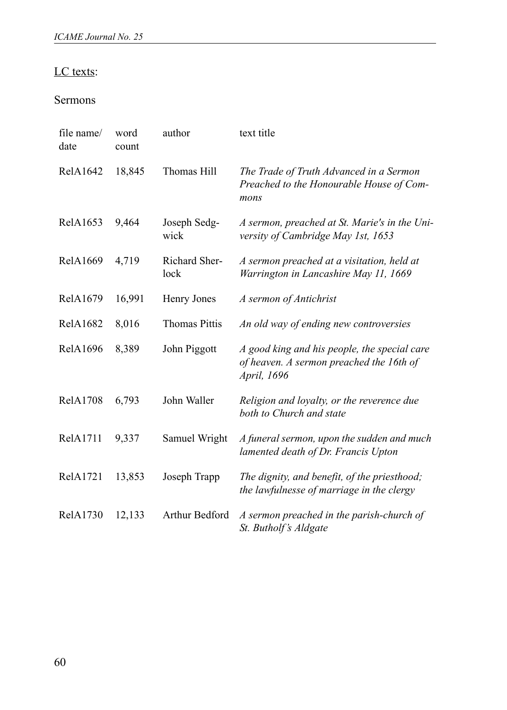### LC texts:

### Sermons

| file name/<br>date | word<br>count | author                | text title                                                                                                     |
|--------------------|---------------|-----------------------|----------------------------------------------------------------------------------------------------------------|
| RelA1642           | 18,845        | Thomas Hill           | The Trade of Truth Advanced in a Sermon<br>Preached to the Honourable House of Com-<br>mons                    |
| RelA1653           | 9,464         | Joseph Sedg-<br>wick  | A sermon, preached at St. Marie's in the Uni-<br>versity of Cambridge May 1st, 1653                            |
| RelA1669           | 4,719         | Richard Sher-<br>lock | A sermon preached at a visitation, held at<br>Warrington in Lancashire May 11, 1669                            |
| RelA1679           | 16,991        | Henry Jones           | A sermon of Antichrist                                                                                         |
| <b>RelA1682</b>    | 8,016         | <b>Thomas Pittis</b>  | An old way of ending new controversies                                                                         |
| RelA1696           | 8,389         | John Piggott          | A good king and his people, the special care<br>of heaven. A sermon preached the 16th of<br><i>April, 1696</i> |
| <b>RelA1708</b>    | 6,793         | John Waller           | Religion and loyalty, or the reverence due<br>both to Church and state                                         |
| RelA1711           | 9,337         | Samuel Wright         | A funeral sermon, upon the sudden and much<br>lamented death of Dr. Francis Upton                              |
| RelA1721           | 13,853        | Joseph Trapp          | The dignity, and benefit, of the priesthood;<br>the lawfulnesse of marriage in the clergy                      |
| RelA1730           | 12,133        | Arthur Bedford        | A sermon preached in the parish-church of<br>St. Butholf's Aldgate                                             |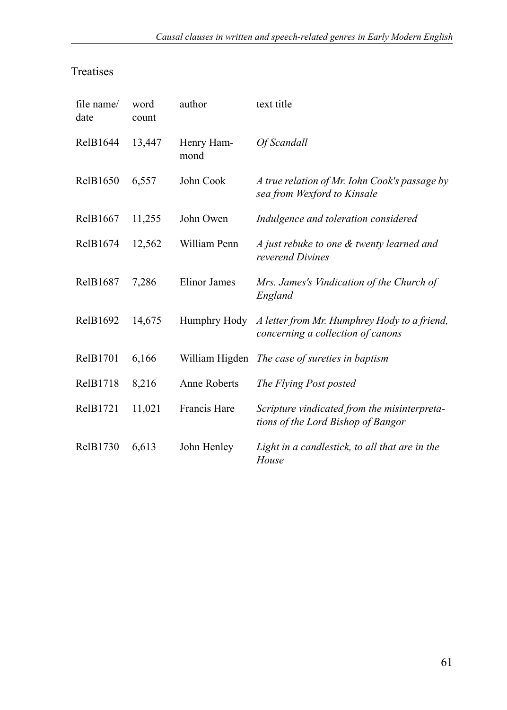# Treatises

| file name/<br>date | word<br>count | author             | text title                                                                         |
|--------------------|---------------|--------------------|------------------------------------------------------------------------------------|
| RelB1644           | 13,447        | Henry Ham-<br>mond | Of Scandall                                                                        |
| RelB1650           | 6,557         | John Cook          | A true relation of Mr. Iohn Cook's passage by<br>sea from Wexford to Kinsale       |
| RelB1667           | 11,255        | John Owen          | Indulgence and toleration considered                                               |
| RelB1674           | 12,562        | William Penn       | A just rebuke to one & twenty learned and<br>reverend Divines                      |
| RelB1687           | 7,286         | Elinor James       | Mrs. James's Vindication of the Church of<br>England                               |
| RelB1692           | 14,675        | Humphry Hody       | A letter from Mr. Humphrey Hody to a friend,<br>concerning a collection of canons  |
| RelB1701           | 6,166         |                    | William Higden The case of sureties in baptism                                     |
| RelB1718           | 8,216         | Anne Roberts       | The Flying Post posted                                                             |
| RelB1721           | 11,021        | Francis Hare       | Scripture vindicated from the misinterpreta-<br>tions of the Lord Bishop of Bangor |
| RelB1730           | 6,613         | John Henley        | Light in a candlestick, to all that are in the<br>House                            |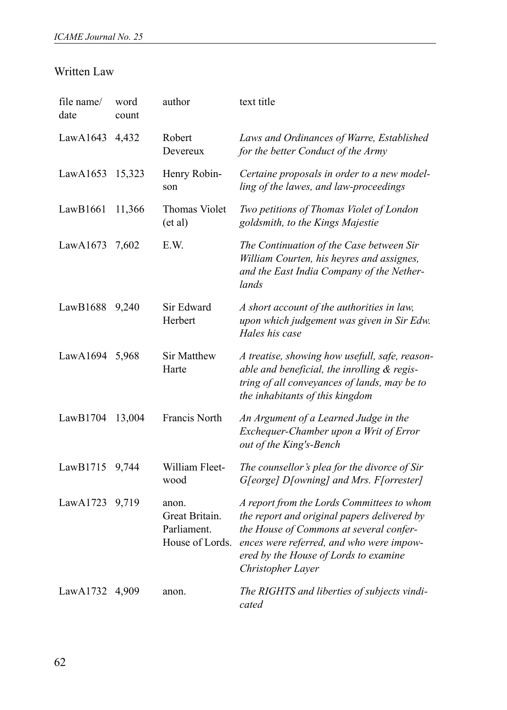### Written Law

| file name/<br>date | word<br>count | author                                                    | text title                                                                                                                                                                                                                                     |
|--------------------|---------------|-----------------------------------------------------------|------------------------------------------------------------------------------------------------------------------------------------------------------------------------------------------------------------------------------------------------|
| LawA1643           | 4,432         | Robert<br>Devereux                                        | Laws and Ordinances of Warre, Established<br>for the better Conduct of the Army                                                                                                                                                                |
| LawA1653           | 15,323        | Henry Robin-<br>son                                       | Certaine proposals in order to a new model-<br>ling of the lawes, and law-proceedings                                                                                                                                                          |
| LawB1661           | 11,366        | Thomas Violet<br>$(\text{et al})$                         | Two petitions of Thomas Violet of London<br>goldsmith, to the Kings Majestie                                                                                                                                                                   |
| LawA1673           | 7,602         | E.W.                                                      | The Continuation of the Case between Sir<br>William Courten, his heyres and assignes,<br>and the East India Company of the Nether-<br>lands                                                                                                    |
| LawB1688           | 9,240         | Sir Edward<br>Herbert                                     | A short account of the authorities in law,<br>upon which judgement was given in Sir Edw.<br>Hales his case                                                                                                                                     |
| LawA1694 5,968     |               | <b>Sir Matthew</b><br>Harte                               | A treatise, showing how usefull, safe, reason-<br>able and beneficial, the inrolling & regis-<br>tring of all conveyances of lands, may be to<br>the inhabitants of this kingdom                                                               |
| LawB1704           | 13,004        | Francis North                                             | An Argument of a Learned Judge in the<br>Exchequer-Chamber upon a Writ of Error<br>out of the King's-Bench                                                                                                                                     |
| LawB1715           | 9,744         | William Fleet-<br>wood                                    | The counsellor's plea for the divorce of Sir<br>G[eorge] D[owning] and Mrs. F[orrester]                                                                                                                                                        |
| LawA1723           | 9,719         | anon.<br>Great Britain.<br>Parliament.<br>House of Lords. | A report from the Lords Committees to whom<br>the report and original papers delivered by<br>the House of Commons at several confer-<br>ences were referred, and who were impow-<br>ered by the House of Lords to examine<br>Christopher Layer |
| LawA1732           | 4,909         | anon.                                                     | The RIGHTS and liberties of subjects vindi-<br>cated                                                                                                                                                                                           |